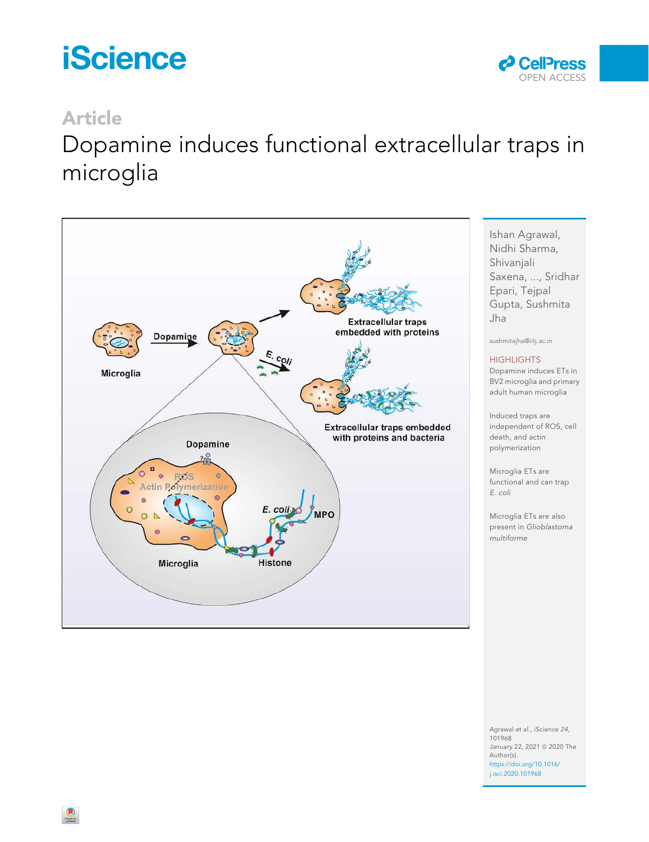# **iScience**



# Article

# Dopamine induces functional extracellular traps in microglia



Ishan Agrawal, Nidhi Sharma, Shivanjali Saxena, ..., Sridhar Epari, Tejpal Gupta, Sushmita Jha

sushmitajha@iitj.ac.in

#### **HIGHLIGHTS**

Dopamine induces ETs in BV2 microglia and primary adult human microglia

Induced traps are independent of ROS, cell death, and actin polymerization

Microglia ETs are functional and can trap E. coli

Microglia ETs are also present in Glioblastoma multiforme

Agrawal et al., iScience 24, 101968 January 22, 2021 @ 2020 The Author(s). https://doi.org/10.1016/ j.isci.2020.101968

 $\bigcirc$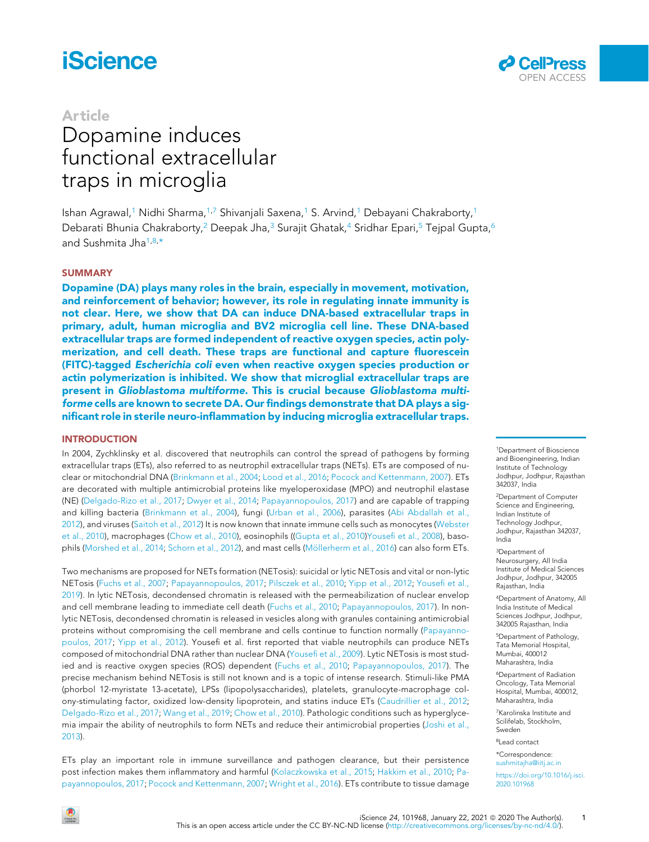# **iScience**

### Article

# Dopamine induces functional extracellular traps in microglia



Ishan Agrawal,<sup>1</sup> Nidhi Sharma,<sup>1,7</sup> Shivanjali Saxena,<sup>1</sup> S. Arvind,<sup>1</sup> Debayani Chakraborty,<sup>1</sup> Debarati Bhunia Chakraborty,<sup>2</sup> Deepak Jha,<sup>3</sup> Surajit Ghatak,<sup>4</sup> Sridhar Epari,<sup>5</sup> Tejpal Gupta,<sup>6</sup> and Sushmita Jha<sup>1,8,\*</sup>

#### **SUMMARY**

Dopamine (DA) plays many roles in the brain, especially in movement, motivation, and reinforcement of behavior; however, its role in regulating innate immunity is not clear. Here, we show that DA can induce DNA-based extracellular traps in primary, adult, human microglia and BV2 microglia cell line. These DNA-based extracellular traps are formed independent of reactive oxygen species, actin polymerization, and cell death. These traps are functional and capture fluorescein (FITC)-tagged Escherichia coli even when reactive oxygen species production or actin polymerization is inhibited. We show that microglial extracellular traps are present in Glioblastoma multiforme. This is crucial because Glioblastoma multiforme cells are known to secrete DA. Our findings demonstrate that DA plays a significant role in sterile neuro-inflammation by inducing microglia extracellular traps.

#### INTRODUCTION

In 2004, Zychklinsky et al. discovered that neutrophils can control the spread of pathogens by forming extracellular traps (ETs), also referred to as neutrophil extracellular traps (NETs). ETs are composed of nuclear or mitochondrial DNA (Brinkmann et al., 2004; Lood et al., 2016; Pocock and Kettenmann, 2007). ETs are decorated with multiple antimicrobial proteins like myeloperoxidase (MPO) and neutrophil elastase (NE) (Delgado-Rizo et al., 2017; Dwyer et al., 2014; Papayannopoulos, 2017) and are capable of trapping and killing bacteria (Brinkmann et al., 2004), fungi (Urban et al., 2006), parasites (Abi Abdallah et al., 2012), and viruses (Saitoh et al., 2012) It is now known that innate immune cells such as monocytes (Webster et al., 2010), macrophages (Chow et al., 2010), eosinophils ((Gupta et al., 2010)Yousefi et al., 2008), basophils (Morshed et al., 2014; Schorn et al., 2012), and mast cells (Möllerherm et al., 2016) can also form ETs.

Two mechanisms are proposed for NETs formation (NETosis): suicidal or lytic NETosis and vital or non-lytic NETosis (Fuchs et al., 2007; Papayannopoulos, 2017; Pilsczek et al., 2010; Yipp et al., 2012; Yousefi et al., 2019). In lytic NETosis, decondensed chromatin is released with the permeabilization of nuclear envelop and cell membrane leading to immediate cell death (Fuchs et al., 2010; Papayannopoulos, 2017). In nonlytic NETosis, decondensed chromatin is released in vesicles along with granules containing antimicrobial proteins without compromising the cell membrane and cells continue to function normally (Papayannopoulos, 2017; Yipp et al., 2012). Yousefi et al. first reported that viable neutrophils can produce NETs composed of mitochondrial DNA rather than nuclear DNA (Yousefi et al., 2009). Lytic NETosis is most studied and is reactive oxygen species (ROS) dependent (Fuchs et al., 2010; Papayannopoulos, 2017). The precise mechanism behind NETosis is still not known and is a topic of intense research. Stimuli-like PMA (phorbol 12-myristate 13-acetate), LPSs (lipopolysaccharides), platelets, granulocyte-macrophage colony-stimulating factor, oxidized low-density lipoprotein, and statins induce ETs (Caudrillier et al., 2012; Delgado-Rizo et al., 2017; Wang et al., 2019; Chow et al., 2010). Pathologic conditions such as hyperglycemia impair the ability of neutrophils to form NETs and reduce their antimicrobial properties (Joshi et al., 2013).

ETs play an important role in immune surveillance and pathogen clearance, but their persistence post infection makes them inflammatory and harmful (Kolaczkowska et al., 2015; Hakkim et al., 2010; Papayannopoulos, 2017; Pocock and Kettenmann, 2007; Wright et al., 2016). ETs contribute to tissue damage

<sup>1</sup>Department of Bioscience and Bioengineering, Indian Institute of Technology Jodhpur, Jodhpur, Rajasthan 342037, India

<sup>2</sup>Department of Computer Science and Engineering, Indian Institute of Technology Jodhpur, Jodhpur, Rajasthan 342037, India

<sup>3</sup>Department of Neurosurgery, All India Institute of Medical Sciences Jodhpur, Jodhpur, 342005 Rajasthan, India

<sup>4</sup>Department of Anatomy, All India Institute of Medical Sciences Jodhpur, Jodhpur, 342005 Rajasthan, India

<sup>5</sup>Department of Pathology, Tata Memorial Hospital, Mumbai, 400012 Maharashtra, India

<sup>6</sup>Department of Radiation Oncology, Tata Memorial Hospital, Mumbai, 400012, Maharashtra, India

<sup>7</sup>Karolinska Institute and Scilifelab, Stockholm, Sweden

<sup>8</sup>Lead contact

\*Correspondence: sushmitajha@iitj.ac.in

https://doi.org/10.1016/j.isci. 2020.101968

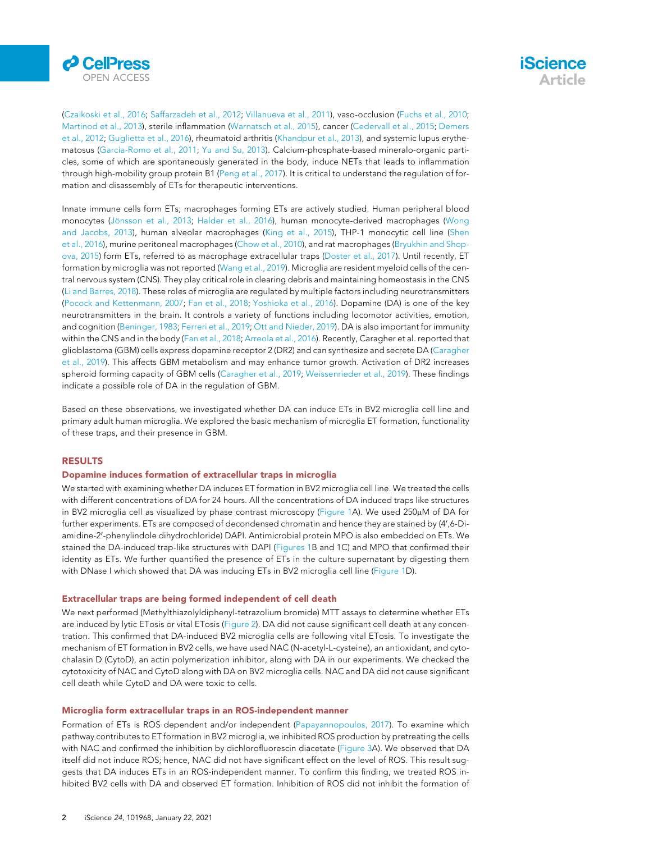

(Czaikoski et al., 2016; Saffarzadeh et al., 2012; Villanueva et al., 2011), vaso-occlusion (Fuchs et al., 2010; Martinod et al., 2013), sterile inflammation (Warnatsch et al., 2015), cancer (Cedervall et al., 2015; Demers et al., 2012; Guglietta et al., 2016), rheumatoid arthritis (Khandpur et al., 2013), and systemic lupus erythematosus (Garcia-Romo et al., 2011; Yu and Su, 2013). Calcium-phosphate-based mineralo-organic particles, some of which are spontaneously generated in the body, induce NETs that leads to inflammation through high-mobility group protein B1 (Peng et al., 2017). It is critical to understand the regulation of formation and disassembly of ETs for therapeutic interventions.

Innate immune cells form ETs; macrophages forming ETs are actively studied. Human peripheral blood monocytes (Jönsson et al., 2013; Halder et al., 2016), human monocyte-derived macrophages (Wong and Jacobs, 2013), human alveolar macrophages (King et al., 2015), THP-1 monocytic cell line (Shen et al., 2016), murine peritoneal macrophages (Chow et al., 2010), and rat macrophages (Bryukhin and Shopova, 2015) form ETs, referred to as macrophage extracellular traps (Doster et al., 2017). Until recently, ET formation by microglia was not reported (Wang et al., 2019). Microglia are resident myeloid cells of the central nervous system (CNS). They play critical role in clearing debris and maintaining homeostasis in the CNS (Li and Barres, 2018). These roles of microglia are regulated by multiple factors including neurotransmitters (Pocock and Kettenmann, 2007; Fan et al., 2018; Yoshioka et al., 2016). Dopamine (DA) is one of the key neurotransmitters in the brain. It controls a variety of functions including locomotor activities, emotion, and cognition (Beninger, 1983; Ferreri et al., 2019; Ott and Nieder, 2019). DA is also important for immunity within the CNS and in the body (Fan et al., 2018; Arreola et al., 2016). Recently, Caragher et al. reported that glioblastoma (GBM) cells express dopamine receptor 2 (DR2) and can synthesize and secrete DA (Caragher et al., 2019). This affects GBM metabolism and may enhance tumor growth. Activation of DR2 increases spheroid forming capacity of GBM cells (Caragher et al., 2019; Weissenrieder et al., 2019). These findings indicate a possible role of DA in the regulation of GBM.

Based on these observations, we investigated whether DA can induce ETs in BV2 microglia cell line and primary adult human microglia. We explored the basic mechanism of microglia ET formation, functionality of these traps, and their presence in GBM.

#### RESULTS

#### Dopamine induces formation of extracellular traps in microglia

We started with examining whether DA induces ET formation in BV2 microglia cell line. We treated the cells with different concentrations of DA for 24 hours. All the concentrations of DA induced traps like structures in BV2 microglia cell as visualized by phase contrast microscopy (Figure 1A). We used 250 $\mu$ M of DA for further experiments. ETs are composed of decondensed chromatin and hence they are stained by (4',6-Diamidine-2'-phenylindole dihydrochloride) DAPI. Antimicrobial protein MPO is also embedded on ETs. We stained the DA-induced trap-like structures with DAPI (Figures 1B and 1C) and MPO that confirmed their identity as ETs. We further quantified the presence of ETs in the culture supernatant by digesting them with DNase I which showed that DA was inducing ETs in BV2 microglia cell line (Figure 1D).

#### Extracellular traps are being formed independent of cell death

We next performed (Methylthiazolyldiphenyl-tetrazolium bromide) MTT assays to determine whether ETs are induced by lytic ETosis or vital ETosis (Figure 2). DA did not cause significant cell death at any concentration. This confirmed that DA-induced BV2 microglia cells are following vital ETosis. To investigate the mechanism of ET formation in BV2 cells, we have used NAC (N-acetyl-L-cysteine), an antioxidant, and cytochalasin D (CytoD), an actin polymerization inhibitor, along with DA in our experiments. We checked the cytotoxicity of NAC and CytoD along with DA on BV2 microglia cells. NAC and DA did not cause significant cell death while CytoD and DA were toxic to cells.

#### Microglia form extracellular traps in an ROS-independent manner

Formation of ETs is ROS dependent and/or independent (Papayannopoulos, 2017). To examine which pathway contributes to ET formation in BV2 microglia, we inhibited ROS production by pretreating the cells with NAC and confirmed the inhibition by dichlorofluorescin diacetate (Figure 3A). We observed that DA itself did not induce ROS; hence, NAC did not have significant effect on the level of ROS. This result suggests that DA induces ETs in an ROS-independent manner. To confirm this finding, we treated ROS inhibited BV2 cells with DA and observed ET formation. Inhibition of ROS did not inhibit the formation of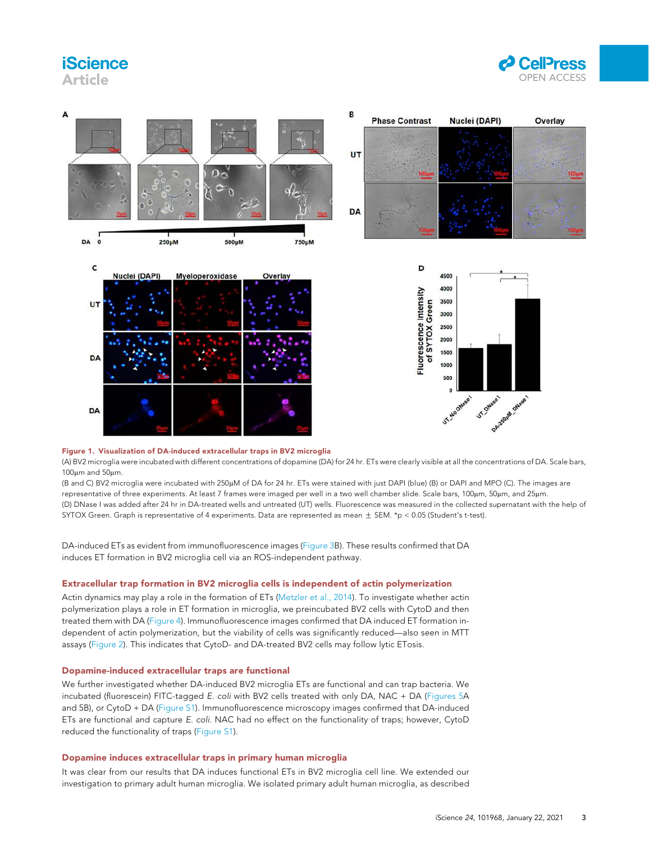# **iScience**

Article





#### Figure 1. Visualization of DA-induced extracellular traps in BV2 microglia

(A) BV2 microglia were incubated with different concentrations of dopamine (DA) for 24 hr. ETs were clearly visible at all the concentrations of DA. Scale bars,  $100 \, \text{nm}$  and  $50 \, \text{nm}$ .

(B and C) BV2 microglia were incubated with 250µM of DA for 24 hr. ETs were stained with just DAPI (blue) (B) or DAPI and MPO (C). The images are representative of three experiments. At least 7 frames were imaged per well in a two well chamber slide. Scale bars, 100µm, 50µm, and 25µm. (D) DNase I was added after 24 hr in DA-treated wells and untreated (UT) wells. Fluorescence was measured in the collected supernatant with the help of SYTOX Green. Graph is representative of 4 experiments. Data are represented as mean  $\pm$  SEM. \*p < 0.05 (Student's t-test).

DA-induced ETs as evident from immunofluorescence images (Figure 3B). These results confirmed that DA induces ET formation in BV2 microglia cell via an ROS-independent pathway.

#### Extracellular trap formation in BV2 microglia cells is independent of actin polymerization

Actin dynamics may play a role in the formation of ETs (Metzler et al., 2014). To investigate whether actin polymerization plays a role in ET formation in microglia, we preincubated BV2 cells with CytoD and then treated them with DA (Figure 4). Immunofluorescence images confirmed that DA induced ET formation independent of actin polymerization, but the viability of cells was significantly reduced—also seen in MTT assays (Figure 2). This indicates that CytoD- and DA-treated BV2 cells may follow lytic ETosis.

#### Dopamine-induced extracellular traps are functional

We further investigated whether DA-induced BV2 microglia ETs are functional and can trap bacteria. We incubated (fluorescein) FITC-tagged E. coli with BV2 cells treated with only DA, NAC + DA (Figures 5A and 5B), or CytoD + DA (Figure S1). Immunofluorescence microscopy images confirmed that DA-induced ETs are functional and capture E. coli. NAC had no effect on the functionality of traps; however, CytoD reduced the functionality of traps (Figure S1).

#### Dopamine induces extracellular traps in primary human microglia

It was clear from our results that DA induces functional ETs in BV2 microglia cell line. We extended our investigation to primary adult human microglia. We isolated primary adult human microglia, as described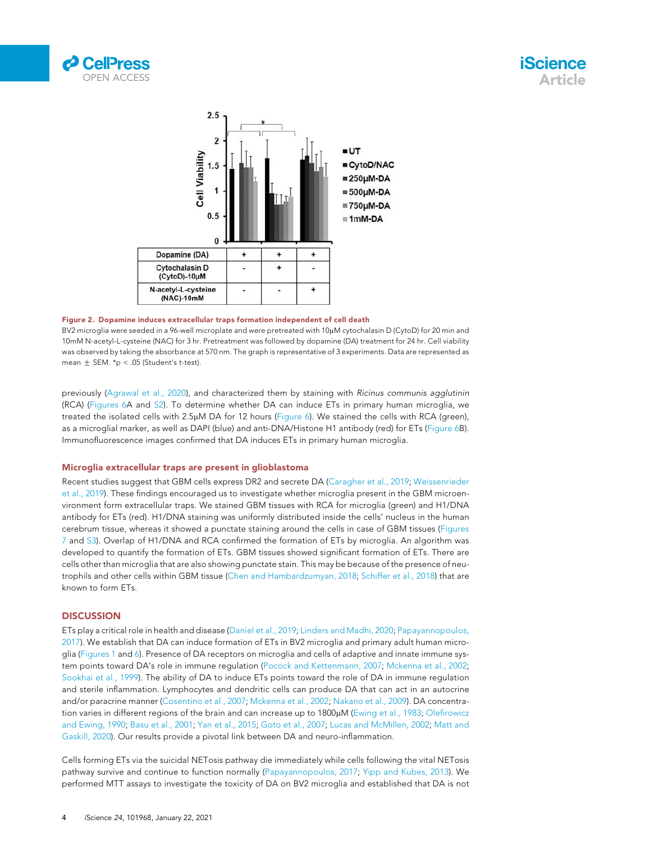





#### Figure 2. Dopamine induces extracellular traps formation independent of cell death

BV2 microglia were seeded in a 96-well microplate and were pretreated with 10μM cytochalasin D (CytoD) for 20 min and 10mM N-acetyl-L-cysteine (NAC) for 3 hr. Pretreatment was followed by dopamine (DA) treatment for 24 hr. Cell viability was observed by taking the absorbance at 570 nm. The graph is representative of 3 experiments. Data are represented as mean  $\pm$  SEM. \*p < .05 (Student's t-test).

previously (Agrawal et al., 2020), and characterized them by staining with Ricinus communis agglutinin (RCA) (Figures 6A and S2). To determine whether DA can induce ETs in primary human microglia, we treated the isolated cells with 2.5µM DA for 12 hours (Figure 6). We stained the cells with RCA (green), as a microglial marker, as well as DAPI (blue) and anti-DNA/Histone H1 antibody (red) for ETs (Figure 6B). Immunofluorescence images confirmed that DA induces ETs in primary human microglia.

#### Microglia extracellular traps are present in glioblastoma

Recent studies suggest that GBM cells express DR2 and secrete DA (Caragher et al., 2019; Weissenrieder et al., 2019). These findings encouraged us to investigate whether microglia present in the GBM microenvironment form extracellular traps. We stained GBM tissues with RCA for microglia (green) and H1/DNA antibody for ETs (red). H1/DNA staining was uniformly distributed inside the cells' nucleus in the human cerebrum tissue, whereas it showed a punctate staining around the cells in case of GBM tissues (Figures 7 and S3). Overlap of H1/DNA and RCA confirmed the formation of ETs by microglia. An algorithm was developed to quantify the formation of ETs. GBM tissues showed significant formation of ETs. There are cells other than microglia that are also showing punctate stain. This may be because of the presence of neutrophils and other cells within GBM tissue (Chen and Hambardzumyan, 2018; Schiffer et al., 2018) that are known to form ETs.

#### **DISCUSSION**

ETs play a critical role in health and disease (Daniel et al., 2019; Linders and Madhi, 2020; Papayannopoulos, 2017). We establish that DA can induce formation of ETs in BV2 microglia and primary adult human microglia (Figures 1 and 6). Presence of DA receptors on microglia and cells of adaptive and innate immune system points toward DA's role in immune regulation (Pocock and Kettenmann, 2007; Mckenna et al., 2002; Sookhai et al., 1999). The ability of DA to induce ETs points toward the role of DA in immune regulation and sterile inflammation. Lymphocytes and dendritic cells can produce DA that can act in an autocrine and/or paracrine manner (Cosentino et al., 2007; Mckenna et al., 2002; Nakano et al., 2009). DA concentration varies in different regions of the brain and can increase up to 1800µM (Ewing et al., 1983; Olefirowicz and Ewing, 1990; Basu et al., 2001; Yan et al., 2015; Goto et al., 2007; Lucas and McMillen, 2002; Matt and Gaskill, 2020). Our results provide a pivotal link between DA and neuro-inflammation.

Cells forming ETs via the suicidal NETosis pathway die immediately while cells following the vital NETosis pathway survive and continue to function normally (Papayannopoulos, 2017; Yipp and Kubes, 2013). We performed MTT assays to investigate the toxicity of DA on BV2 microglia and established that DA is not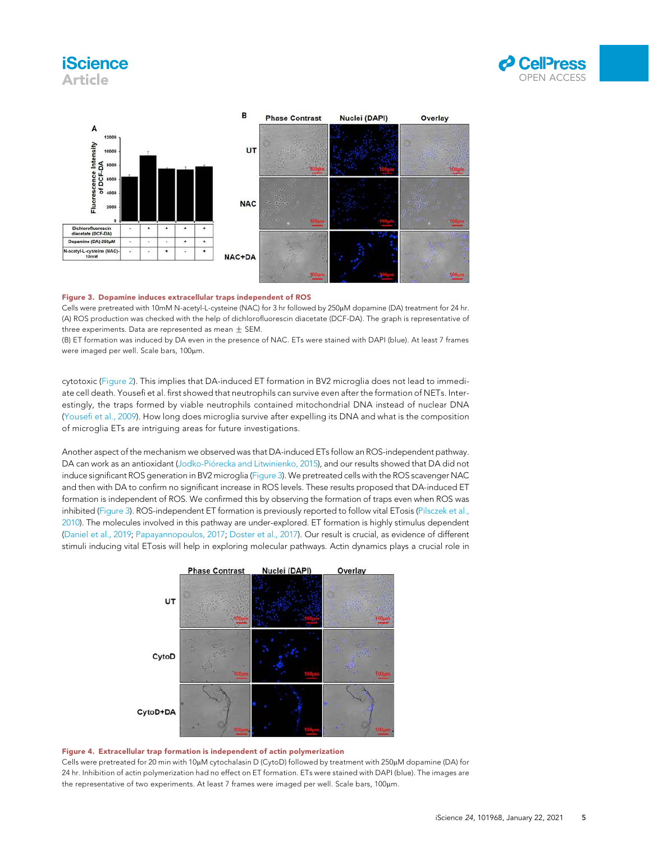### **iScience** Article





#### Figure 3. Dopamine induces extracellular traps independent of ROS

Cells were pretreated with 10mM N-acetyl-L-cysteine (NAC) for 3 hr followed by 250µM dopamine (DA) treatment for 24 hr. (A) ROS production was checked with the help of dichlorofluorescin diacetate (DCF-DA). The graph is representative of three experiments. Data are represented as mean  $\pm$  SEM.

(B) ET formation was induced by DA even in the presence of NAC. ETs were stained with DAPI (blue). At least 7 frames were imaged per well. Scale bars, 100um.

cytotoxic (Figure 2). This implies that DA-induced ET formation in BV2 microglia does not lead to immediate cell death. Yousefi et al. first showed that neutrophils can survive even after the formation of NETs. Interestingly, the traps formed by viable neutrophils contained mitochondrial DNA instead of nuclear DNA (Yousefi et al., 2009). How long does microglia survive after expelling its DNA and what is the composition of microglia ETs are intriguing areas for future investigations.

Another aspect of the mechanism we observed was that DA-induced ETs follow an ROS-independent pathway. DA can work as an antioxidant (Jodko-Piórecka and Litwinienko, 2015), and our results showed that DA did not induce significant ROS generation in BV2 microglia (Figure 3). We pretreated cells with the ROS scavenger NAC and then with DA to confirm no significant increase in ROS levels. These results proposed that DA-induced ET formation is independent of ROS. We confirmed this by observing the formation of traps even when ROS was inhibited (Figure 3). ROS-independent ET formation is previously reported to follow vital ETosis (Pilsczek et al., 2010). The molecules involved in this pathway are under-explored. ET formation is highly stimulus dependent (Daniel et al., 2019; Papayannopoulos, 2017; Doster et al., 2017). Our result is crucial, as evidence of different stimuli inducing vital ETosis will help in exploring molecular pathways. Actin dynamics plays a crucial role in



#### Figure 4. Extracellular trap formation is independent of actin polymerization

Cells were pretreated for 20 min with 10µM cytochalasin D (CytoD) followed by treatment with 250µM dopamine (DA) for 24 hr. Inhibition of actin polymerization had no effect on ET formation. ETs were stained with DAPI (blue). The images are the representative of two experiments. At least 7 frames were imaged per well. Scale bars, 100µm.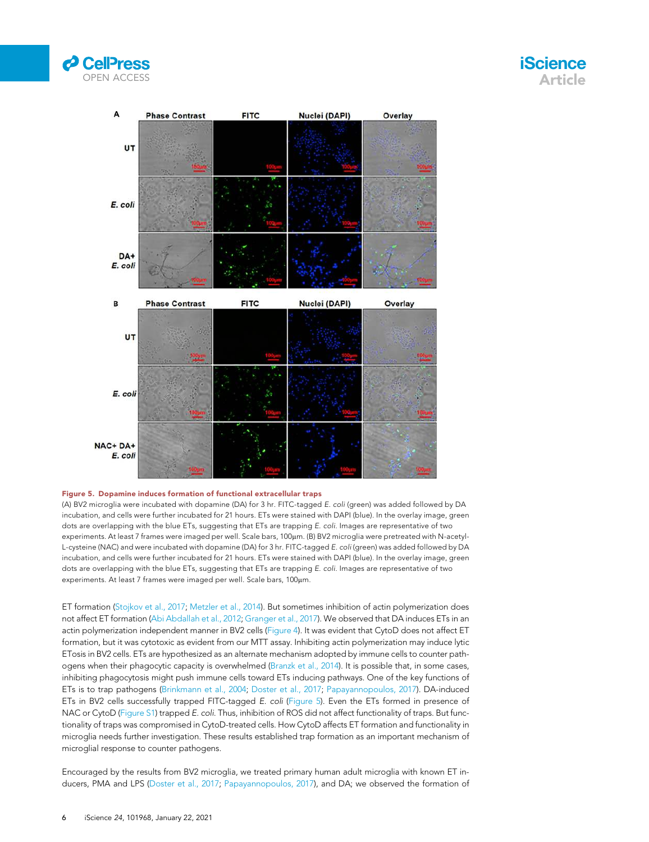





#### Figure 5. Dopamine induces formation of functional extracellular traps

(A) BV2 microglia were incubated with dopamine (DA) for 3 hr. FITC-tagged E. coli (green) was added followed by DA incubation, and cells were further incubated for 21 hours. ETs were stained with DAPI (blue). In the overlay image, green dots are overlapping with the blue ETs, suggesting that ETs are trapping E. coli. Images are representative of two experiments. At least 7 frames were imaged per well. Scale bars, 100μm. (Β) BV2 microglia were pretreated with N-acetyl-L-cysteine (NAC) and were incubated with dopamine (DA) for 3 hr. FITC-tagged E. coli (green) was added followed by DA incubation, and cells were further incubated for 21 hours. ETs were stained with DAPI (blue). In the overlay image, green dots are overlapping with the blue ETs, suggesting that ETs are trapping E. coli. Images are representative of two experiments. At least 7 frames were imaged per well. Scale bars, 100µm.

ET formation (Stojkov et al., 2017; Metzler et al., 2014). But sometimes inhibition of actin polymerization does not affect ET formation (Abi Abdallah et al., 2012; Granger et al., 2017). We observed that DA induces ETs in an actin polymerization independent manner in BV2 cells (Figure 4). It was evident that CytoD does not affect ET formation, but it was cytotoxic as evident from our MTT assay. Inhibiting actin polymerization may induce lytic ETosis in BV2 cells. ETs are hypothesized as an alternate mechanism adopted by immune cells to counter pathogens when their phagocytic capacity is overwhelmed (Branzk et al., 2014). It is possible that, in some cases, inhibiting phagocytosis might push immune cells toward ETs inducing pathways. One of the key functions of ETs is to trap pathogens (Brinkmann et al., 2004; Doster et al., 2017; Papayannopoulos, 2017). DA-induced ETs in BV2 cells successfully trapped FITC-tagged E. coli (Figure 5). Even the ETs formed in presence of NAC or CytoD (Figure S1) trapped E. coli. Thus, inhibition of ROS did not affect functionality of traps. But functionality of traps was compromised in CytoD-treated cells. How CytoD affects ET formation and functionality in microglia needs further investigation. These results established trap formation as an important mechanism of microglial response to counter pathogens.

Encouraged by the results from BV2 microglia, we treated primary human adult microglia with known ET inducers, PMA and LPS (Doster et al., 2017; Papayannopoulos, 2017), and DA; we observed the formation of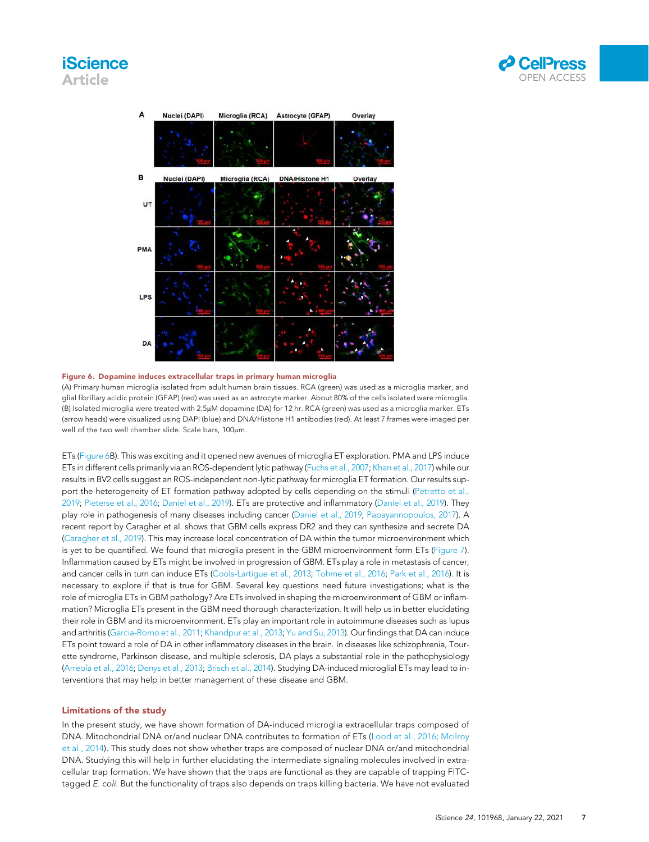### **iScience** Article





#### Figure 6. Dopamine induces extracellular traps in primary human microglia

(A) Primary human microglia isolated from adult human brain tissues. RCA (green) was used as a microglia marker, and glial fibrillary acidic protein (GFAP) (red) was used as an astrocyte marker. About 80% of the cells isolated were microglia. (B) Isolated microglia were treated with 2.5mM dopamine (DA) for 12 hr. RCA (green) was used as a microglia marker. ETs (arrow heads) were visualized using DAPI (blue) and DNA/Histone H1 antibodies (red). At least 7 frames were imaged per well of the two well chamber slide. Scale bars, 100um.

ETs (Figure 6B). This was exciting and it opened new avenues of microglia ET exploration. PMA and LPS induce ETs in different cells primarily via an ROS-dependent lytic pathway (Fuchs et al., 2007; Khan et al., 2017) while our results in BV2 cells suggest an ROS-independent non-lytic pathway for microglia ET formation. Our results support the heterogeneity of ET formation pathway adopted by cells depending on the stimuli (Petretto et al., 2019; Pieterse et al., 2016; Daniel et al., 2019). ETs are protective and inflammatory (Daniel et al., 2019). They play role in pathogenesis of many diseases including cancer (Daniel et al., 2019; Papayannopoulos, 2017). A recent report by Caragher et al. shows that GBM cells express DR2 and they can synthesize and secrete DA (Caragher et al., 2019). This may increase local concentration of DA within the tumor microenvironment which is yet to be quantified. We found that microglia present in the GBM microenvironment form ETs (Figure 7). Inflammation caused by ETs might be involved in progression of GBM. ETs play a role in metastasis of cancer, and cancer cells in turn can induce ETs (Cools-Lartigue et al., 2013; Tohme et al., 2016; Park et al., 2016). It is necessary to explore if that is true for GBM. Several key questions need future investigations; what is the role of microglia ETs in GBM pathology? Are ETs involved in shaping the microenvironment of GBM or inflammation? Microglia ETs present in the GBM need thorough characterization. It will help us in better elucidating their role in GBM and its microenvironment. ETs play an important role in autoimmune diseases such as lupus and arthritis (Garcia-Romo et al., 2011; Khandpur et al., 2013; Yu and Su, 2013). Our findings that DA can induce ETs point toward a role of DA in other inflammatory diseases in the brain. In diseases like schizophrenia, Tourette syndrome, Parkinson disease, and multiple sclerosis, DA plays a substantial role in the pathophysiology (Arreola et al., 2016; Denys et al., 2013; Brisch et al., 2014). Studying DA-induced microglial ETs may lead to interventions that may help in better management of these disease and GBM.

#### Limitations of the study

In the present study, we have shown formation of DA-induced microglia extracellular traps composed of DNA. Mitochondrial DNA or/and nuclear DNA contributes to formation of ETs (Lood et al., 2016; Mcilroy et al., 2014). This study does not show whether traps are composed of nuclear DNA or/and mitochondrial DNA. Studying this will help in further elucidating the intermediate signaling molecules involved in extracellular trap formation. We have shown that the traps are functional as they are capable of trapping FITCtagged E. coli. But the functionality of traps also depends on traps killing bacteria. We have not evaluated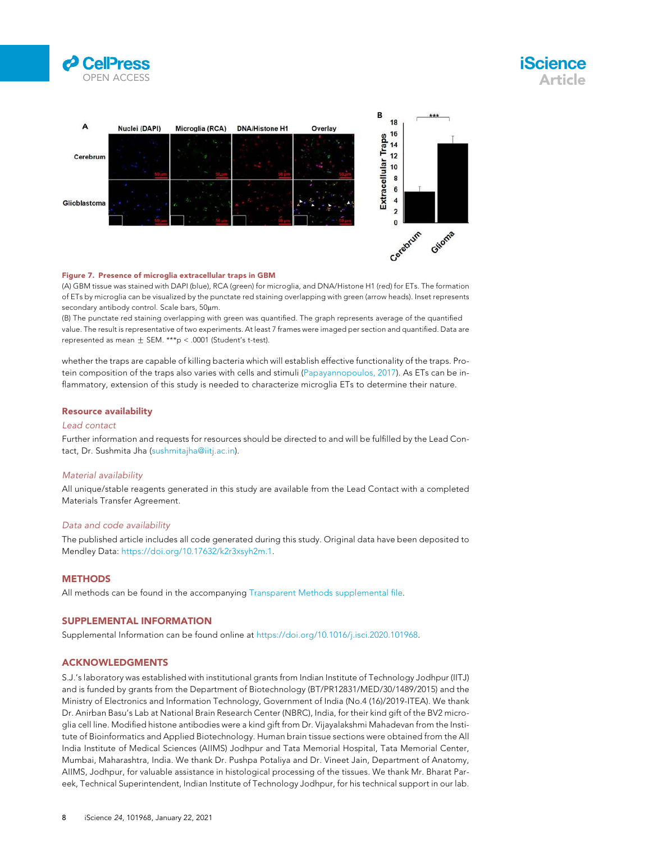





#### Figure 7. Presence of microglia extracellular traps in GBM

(A) GBM tissue was stained with DAPI (blue), RCA (green) for microglia, and DNA/Histone H1 (red) for ETs. The formation of ETs by microglia can be visualized by the punctate red staining overlapping with green (arrow heads). Inset represents secondary antibody control. Scale bars, 50µm.

(B) The punctate red staining overlapping with green was quantified. The graph represents average of the quantified value. The result is representative of two experiments. At least 7 frames were imaged per section and quantified. Data are represented as mean  $\pm$  SEM. \*\*\*p < .0001 (Student's t-test).

whether the traps are capable of killing bacteria which will establish effective functionality of the traps. Protein composition of the traps also varies with cells and stimuli (Papayannopoulos, 2017). As ETs can be inflammatory, extension of this study is needed to characterize microglia ETs to determine their nature.

#### Resource availability

#### Lead contact

Further information and requests for resources should be directed to and will be fulfilled by the Lead Contact, Dr. Sushmita Jha (sushmitajha@iitj.ac.in).

#### Material availability

All unique/stable reagents generated in this study are available from the Lead Contact with a completed Materials Transfer Agreement.

#### Data and code availability

The published article includes all code generated during this study. Original data have been deposited to Mendley Data: https://doi.org/10.17632/k2r3xsyh2m.1.

#### **METHODS**

All methods can be found in the accompanying Transparent Methods supplemental file.

#### SUPPLEMENTAL INFORMATION

Supplemental Information can be found online at https://doi.org/10.1016/j.isci.2020.101968.

#### ACKNOWLEDGMENTS

S.J.'s laboratory was established with institutional grants from Indian Institute of Technology Jodhpur (IITJ) and is funded by grants from the Department of Biotechnology (BT/PR12831/MED/30/1489/2015) and the Ministry of Electronics and Information Technology, Government of India (No.4 (16)/2019-ITEA). We thank Dr. Anirban Basu's Lab at National Brain Research Center (NBRC), India, for their kind gift of the BV2 microglia cell line. Modified histone antibodies were a kind gift from Dr. Vijayalakshmi Mahadevan from the Institute of Bioinformatics and Applied Biotechnology. Human brain tissue sections were obtained from the All India Institute of Medical Sciences (AIIMS) Jodhpur and Tata Memorial Hospital, Tata Memorial Center, Mumbai, Maharashtra, India. We thank Dr. Pushpa Potaliya and Dr. Vineet Jain, Department of Anatomy, AIIMS, Jodhpur, for valuable assistance in histological processing of the tissues. We thank Mr. Bharat Pareek, Technical Superintendent, Indian Institute of Technology Jodhpur, for his technical support in our lab.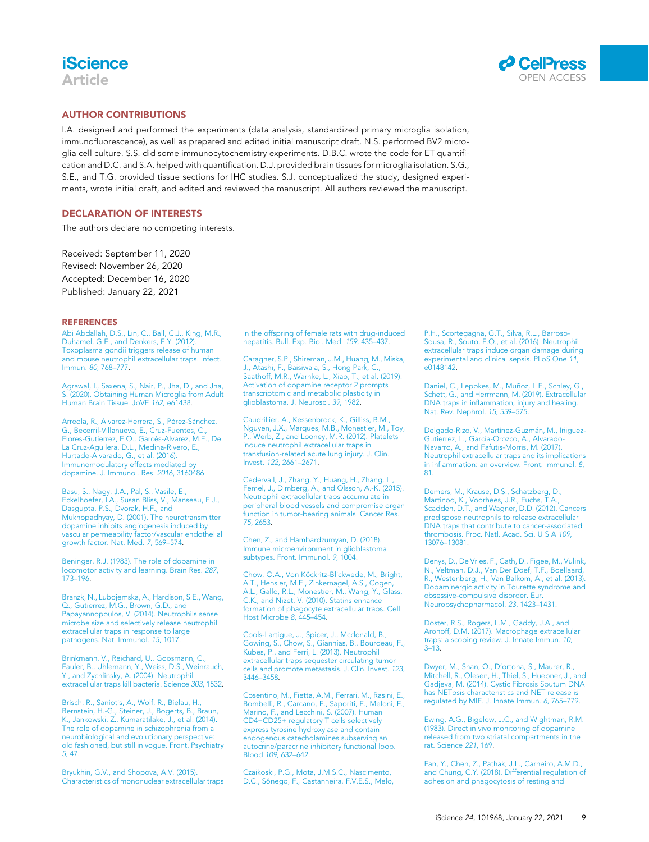### **iScience** Article



#### AUTHOR CONTRIBUTIONS

I.A. designed and performed the experiments (data analysis, standardized primary microglia isolation, immunofluorescence), as well as prepared and edited initial manuscript draft. N.S. performed BV2 microglia cell culture. S.S. did some immunocytochemistry experiments. D.B.C. wrote the code for ET quantification and D.C. and S.A. helped with quantification. D.J. provided brain tissues for microglia isolation. S.G., S.E., and T.G. provided tissue sections for IHC studies. S.J. conceptualized the study, designed experiments, wrote initial draft, and edited and reviewed the manuscript. All authors reviewed the manuscript.

#### DECLARATION OF INTERESTS

The authors declare no competing interests.

Received: September 11, 2020 Revised: November 26, 2020 Accepted: December 16, 2020 Published: January 22, 2021

#### **REFERENCES**

Abi Abdallah, D.S., Lin, C., Ball, C.J., King, M.R., Duhamel, G.E., and Denkers, E.Y. (2012). Toxoplasma gondii triggers release of human and mouse neutrophil extracellular traps. Infect. Immun. 80, 768–777.

Agrawal, I., Saxena, S., Nair, P., Jha, D., and Jha, S. (2020). Obtaining Human Microglia from Adult Human Brain Tissue. JoVE 162, e61438.

Arreola, R., Alvarez-Herrera, S., Pérez-Sánchez, G., Becerril-Villanueva, E., Cruz-Fuentes, C.,<br>Flores-Gutierrez, E.O., Garcés-Alvarez, M.E., De La Cruz-Aguilera, D.L., Medina-Rivero, E., Hurtado-Alvarado, G., et al. (2016). Immunomodulatory effects mediated by dopamine. J. Immunol. Res. 2016, 3160486.

Basu, S., Nagy, J.A., Pal, S., Vasile, E., Eckelhoefer, I.A., Susan Bliss, V., Manseau, E.J., Dasgupta, P.S., Dvorak, H.F., and Mukhopadhyay, D. (2001). The neurotransmitter dopamine inhibits angiogenesis induced by vascular permeability factor/vascular endothelial growth factor. Nat. Med. 7, 569–574.

Beninger, R.J. (1983). The role of dopamine in locomotor activity and learning. Brain Res. 287, 173–196.

Branzk, N., Lubojemska, A., Hardison, S.E., Wang, Q., Gutierrez, M.G., Brown, G.D., and Papayannopoulos, V. (2014). Neutrophils sense microbe size and selectively release neutrophil extracellular traps in response to large pathogens. Nat. Immunol. 15, 1017.

Brinkmann, V., Reichard, U., Goosmann, C., Fauler, B., Uhlemann, Y., Weiss, D.S., Weinrauch, Y., and Zychlinsky, A. (2004). Neutrophil extracellular traps kill bacteria. Science 303, 1532.

Brisch, R., Saniotis, A., Wolf, R., Bielau, H., Bernstein, H.-G., Steiner, J., Bogerts, B., Braun, K., Jankowski, Z., Kumaratilake, J., et al. (2014). The role of dopamine in schizophrenia from a neurobiological and evolutionary perspective: old fashioned, but still in vogue. Front. Psychiatry 5, 47.

Bryukhin, G.V., and Shopova, A.V. (2015). Characteristics of mononuclear extracellular traps in the offspring of female rats with drug-induced hepatitis. Bull. Exp. Biol. Med. 159, 435–437.

Caragher, S.P., Shireman, J.M., Huang, M., Miska, J., Atashi, F., Baisiwala, S., Hong Park, C., Saathoff, M.R., Warnke, L., Xiao, T., et al. (2019). Activation of dopamine receptor 2 prompts transcriptomic and metabolic plasticity in glioblastoma. J. Neurosci. 39, 1982.

Caudrillier, A., Kessenbrock, K., Gilliss, B.M., Nguyen, J.X., Marques, M.B., Monestier, M., Toy, P., Werb, Z., and Looney, M.R. (2012). Platelets induce neutrophil extracellular traps in transfusion-related acute lung injury. J. Clin. Invest. 122, 2661–2671.

Cedervall, J., Zhang, Y., Huang, H., Zhang, L., Femel, J., Dimberg, A., and Olsson, A.-K. (2015). Neutrophil extracellular traps accumulate in peripheral blood vessels and compromise organ function in tumor-bearing animals. Cancer Res. 75, 2653.

Chen, Z., and Hambardzumyan, D. (2018). Immune microenvironment in glioblastoma subtypes. Front. Immunol. 9, 1004.

Chow, O.A., Von Köckritz-Blickwede, M., Bright, A.T., Hensler, M.E., Zinkernagel, A.S., Cogen A.L., Gallo, R.L., Monestier, M., Wang, Y., Glass, C.K., and Nizet, V. (2010). Statins enhance formation of phagocyte extracellular traps. Cell Host Microbe 8, 445–454.

Cools-Lartigue, J., Spicer, J., Mcdonald, B., Gowing, S., Chow, S., Giannias, B., Bourdeau, F., Kubes, P., and Ferri, L. (2013). Neutrophil extracellular traps sequester circulating tumor cells and promote metastasis. J. Clin. Invest. 123, 3446–3458.

Cosentino, M., Fietta, A.M., Ferrari, M., Rasini, E., Bombelli, R., Carcano, E., Saporiti, F., Meloni, F., Marino, F., and Lecchini, S. (2007). Human CD4+CD25+ regulatory T cells selectively express tyrosine hydroxylase and contain endogenous catecholamines subserving an autocrine/paracrine inhibitory functional loop. Blood 109, 632–642.

Czaikoski, P.G., Mota, J.M.S.C., Nascimento, D.C., Sônego, F., Castanheira, F.V.E.S., Melo, P.H., Scortegagna, G.T., Silva, R.L., Barroso-Sousa, R., Souto, F.O., et al. (2016). Neutrophil extracellular traps induce organ damage during experimental and clinical sepsis. PLoS One 11, e0148142.

Daniel, C., Leppkes, M., Muñoz, L.E., Schley, G., Schett, G., and Herrmann, M. (2019). Extracellular DNA traps in inflammation, injury and healing. Nat. Rev. Nephrol. 15, 559–575.

Delgado-Rizo, V., Martínez-Guzmán, M., Iñiguez-<br>Gutierrez, L., García-Orozco, A., Alvarado-Navarro, A., and Fafutis-Morris, M. (2017). Neutrophil extracellular traps and its implications in inflammation: an overview. Front. Immunol. 8, 81.

Demers, M., Krause, D.S., Schatzberg, D., Martinod, K., Voorhees, J.R., Fuchs, T.A., Scadden, D.T., and Wagner, D.D. (2012). Cancers predispose neutrophils to release extracellular DNA traps that contribute to cancer-associated thrombosis. Proc. Natl. Acad. Sci. U S A 109, 13076–13081.

Denys, D., De Vries, F., Cath, D., Figee, M., Vulink, N., Veltman, D.J., Van Der Doef, T.F., Boellaard, R., Westenberg, H., Van Balkom, A., et al. (2013). Dopaminergic activity in Tourette syndrome and obsessive-compulsive disorder. Eur. Neuropsychopharmacol. 23, 1423–1431.

Doster, R.S., Rogers, L.M., Gaddy, J.A., and Aronoff, D.M. (2017). Macrophage extracellular traps: a scoping review. J. Innate Immun. 10,  $3 - 13$ .

Dwyer, M., Shan, Q., D'ortona, S., Maurer, R., Mitchell, R., Olesen, H., Thiel, S., Huebner, J., and Gadjeva, M. (2014). Cystic Fibrosis Sputum DNA has NETosis characteristics and NET release is regulated by MIF. J. Innate Immun. 6, 765–779.

Ewing, A.G., Bigelow, J.C., and Wightman, R.M. (1983). Direct in vivo monitoring of dopamine released from two striatal compartments in the rat. Science 221, 169.

Fan, Y., Chen, Z., Pathak, J.L., Carneiro, A.M.D., and Chung, C.Y. (2018). Differential regulation of adhesion and phagocytosis of resting and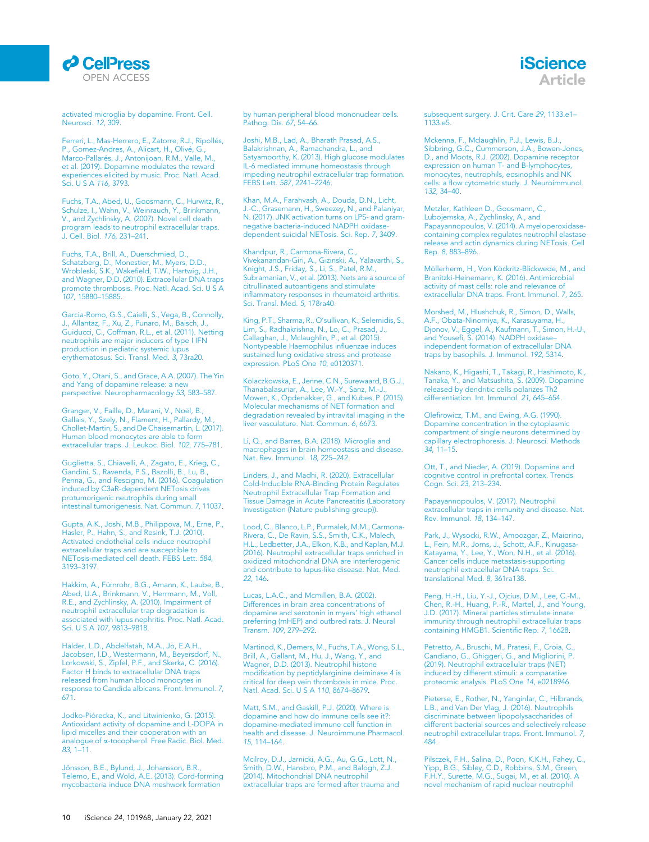

activated microglia by dopamine. Front. Cell. Neurosci. 12, 309.

Ferreri, L., Mas-Herrero, E., Zatorre, R.J., Ripollés, P., Gomez-Andres, A., Alicart, H., Olivé, G., Marco-Pallarés, J., Antonijoan, R.M., Valle, M., et al. (2019). Dopamine modulates the reward experiences elicited by music. Proc. Natl. Acad. Sci. U S A 116, 3793.

Fuchs, T.A., Abed, U., Goosmann, C., Hurwitz, R., Schulze, I., Wahn, V., Weinrauch, Y., Brinkmann, V., and Zychlinsky, A. (2007). Novel cell death program leads to neutrophil extracellular traps. J. Cell. Biol. 176, 231–241.

Fuchs, T.A., Brill, A., Duerschmied, D., Schatzberg, D., Monestier, M., Myers, D.D., Wrobleski, S.K., Wakefield, T.W., Hartwig, J.H., and Wagner, D.D. (2010). Extracellular DNA traps promote thrombosis. Proc. Natl. Acad. Sci. U S A 107, 15880–15885.

Garcia-Romo, G.S., Caielli, S., Vega, B., Connolly, J., Allantaz, F., Xu, Z., Punaro, M., Baisch, J., Guiducci, C., Coffman, R.L., et al. (2011). Netting neutrophils are major inducers of type I IFN production in pediatric systemic lupus erythematosus. Sci. Transl. Med. 3, 73ra20.

Goto, Y., Otani, S., and Grace, A.A. (2007). The Yin and Yang of dopamine release: a new perspective. Neuropharmacology 53, 583–587.

Granger, V., Faille, D., Marani, V., Noël, B.,<br>Gallais, Y., Szely, N., Flament, H., Pallardy, M., Chollet-Martin, S., and De Chaisemartin, L. (2017). Human blood monocytes are able to form extracellular traps. J. Leukoc. Biol. 102, 775–781.

Guglietta, S., Chiavelli, A., Zagato, E., Krieg, C., Gandini, S., Ravenda, P.S., Bazolli, B., Lu, B., Penna, G., and Rescigno, M. (2016). Coagulation induced by C3aR-dependent NETosis drives protumorigenic neutrophils during small intestinal tumorigenesis. Nat. Commun. 7, 11037.

Gupta, A.K., Joshi, M.B., Philippova, M., Erne, P., Hasler, P., Hahn, S., and Resink, T.J. (2010). Activated endothelial cells induce neutrophil extracellular traps and are susceptible to NETosis-mediated cell death. FEBS Lett. 584, 3193–3197.

Hakkim, A., Fürnrohr, B.G., Amann, K., Laube, B.,<br>Abed, U.A., Brinkmann, V., Herrmann, M., Voll, R.E., and Zychlinsky, A. (2010). Impairment of neutrophil extracellular trap degradation is associated with lupus nephritis. Proc. Natl. Acad. Sci. U S A 107, 9813–9818.

Halder, L.D., Abdelfatah, M.A., Jo, E.A.H., Jacobsen, I.D., Westermann, M., Beyersdorf, N., Lorkowski, S., Zipfel, P.F., and Skerka, C. (2016). Factor H binds to extracellular DNA traps released from human blood monocytes in response to Candida albicans. Front. Immunol. 7, 671.

Jodko-Piórecka, K., and Litwinienko, G. (2015). Antioxidant activity of dopamine and L-DOPA in lipid micelles and their cooperation with an analogue of a-tocopherol. Free Radic. Biol. Med. 83, 1–11.

Jönsson, B.E., Bylund, J., Johansson, B.R., Telemo, E., and Wold, A.E. (2013). Cord-forming mycobacteria induce DNA meshwork formation

by human peripheral blood mononuclear cells. Pathog. Dis. 67, 54–66.

Joshi, M.B., Lad, A., Bharath Prasad, A.S., Balakrishnan, A., Ramachandra, L., and Satyamoorthy, K. (2013). High glucose modulates IL-6 mediated immune homeostasis through impeding neutrophil extracellular trap formation. FEBS Lett. 587, 2241–2246.

Khan, M.A., Farahvash, A., Douda, D.N., Licht, J.-C., Grasemann, H., Sweezey, N., and Palaniyar, N. (2017). JNK activation turns on LPS- and gramnegative bacteria-induced NADPH oxidasedependent suicidal NETosis. Sci. Rep. 7, 3409.

Khandpur, R., Carmona-Rivera, C., Vivekanandan-Giri, A., Gizinski, A., Yalavarthi, S., Knight, J.S., Friday, S., Li, S., Patel, R.M., Subramanian, V., et al. (2013). Nets are a source of citrullinated autoantigens and stimulate inflammatory responses in rheumatoid arthritis. Sci. Transl. Med. 5, 178ra40.

King, P.T., Sharma, R., O'sullivan, K., Selemidis, S., Lim, S., Radhakrishna, N., Lo, C., Prasad, J., Callaghan, J., Mclaughlin, P., et al. (2015). Nontypeable Haemophilus influenzae induces sustained lung oxidative stress and protease expression. PLoS One 10, e0120371.

Kolaczkowska, E., Jenne, C.N., Surewaard, B.G.J., Thanabalasuriar, A., Lee, W.-Y., Sanz, M.-J., Mowen, K., Opdenakker, G., and Kubes, P. (2015). Molecular mechanisms of NET formation and degradation revealed by intravital imaging in the liver vasculature. Nat. Commun. 6, 6673.

Li, Q., and Barres, B.A. (2018). Microglia and macrophages in brain homeostasis and disease. Nat. Rev. Immunol. 18, 225–242.

Linders, J., and Madhi, R. (2020). Extracellular Cold-Inducible RNA-Binding Protein Regulates Neutrophil Extracellular Trap Formation and Tissue Damage in Acute Pancreatitis (Laboratory Investigation (Nature publishing group)).

Lood, C., Blanco, L.P., Purmalek, M.M., Carmona-Rivera, C., De Ravin, S.S., Smith, C.K., Malech, H.L., Ledbetter, J.A., Elkon, K.B., and Kaplan, M.J. (2016). Neutrophil extracellular traps enriched in oxidized mitochondrial DNA are interferogenic and contribute to lupus-like disease. Nat. Med. 22, 146.

Lucas, L.A.C., and Mcmillen, B.A. (2002). Differences in brain area concentrations of dopamine and serotonin in myers' high ethanol preferring (mHEP) and outbred rats. J. Neural Transm. 109, 279–292.

Martinod, K., Demers, M., Fuchs, T.A., Wong, S.L., Brill, A., Gallant, M., Hu, J., Wang, Y., and Wagner, D.D. (2013). Neutrophil histone modification by peptidylarginine deiminase 4 is critical for deep vein thrombosis in mice. Proc. Natl. Acad. Sci. U S A 110, 8674–8679.

Matt, S.M., and Gaskill, P.J. (2020). Where is dopamine and how do immune cells see it?: dopamine-mediated immune cell function in health and disease. J. Neuroimmune Pharmacol. 15, 114–164.

Mcilroy, D.J., Jarnicki, A.G., Au, G.G., Lott, N., Smith, D.W., Hansbro, P.M., and Balogh, Z.J. (2014). Mitochondrial DNA neutrophil extracellular traps are formed after trauma and subsequent surgery. J. Crit. Care 29, 1133.e1–  $1133 - 5$ 

iScience Article

Mckenna, F., Mclaughlin, P.J., Lewis, B.J., Sibbring, G.C., Cummerson, J.A., Bowen-Jones, D., and Moots, R.J. (2002). Dopamine receptor expression on human T- and B-lymphocytes, monocytes, neutrophils, eosinophils and NK cells: a flow cytometric study. J. Neuroimmunol. 132, 34–40.

Metzler, Kathleen D., Goosmann, C., Lubojemska, A., Zychlinsky, A., and Papayannopoulos, V. (2014). A myeloperoxidasecontaining complex regulates neutrophil elastase release and actin dynamics during NETosis. Cell Rep. 8, 883–896.

Möllerherm, H., Von Köckritz-Blickwede, M., and Branitzki-Heinemann, K. (2016). Antimicrobial activity of mast cells: role and relevance of extracellular DNA traps. Front. Immunol. 7, 265.

Morshed, M., Hlushchuk, R., Simon, D., Walls, A.F., Obata-Ninomiya, K., Karasuyama, H., Djonov, V., Eggel, A., Kaufmann, T., Simon, H.-U., and Yousefi, S. (2014). NADPH oxidase– independent formation of extracellular DNA traps by basophils. J. Immunol. 192, 5314.

Nakano, K., Higashi, T., Takagi, R., Hashimoto, K., Tanaka, Y., and Matsushita, S. (2009). Dopamine released by dendritic cells polarizes Th2 differentiation. Int. Immunol. 21, 645–654.

Olefirowicz, T.M., and Ewing, A.G. (1990). Dopamine concentration in the cytoplasmic compartment of single neurons determined by capillary electrophoresis. J. Neurosci. Methods 34, 11–15.

Ott, T., and Nieder, A. (2019). Dopamine and cognitive control in prefrontal cortex. Trends Cogn. Sci. 23, 213–234.

Papayannopoulos, V. (2017). Neutrophil extracellular traps in immunity and disease. Nat. Rev. Immunol. 18, 134–147.

Park, J., Wysocki, R.W., Amoozgar, Z., Maiorino, L., Fein, M.R., Jorns, J., Schott, A.F., Kinugasa-Katayama, Y., Lee, Y., Won, N.H., et al. (2016). Cancer cells induce metastasis-supporting neutrophil extracellular DNA traps. Sci. translational Med. 8, 361ra138.

Peng, H.-H., Liu, Y.-J., Ojcius, D.M., Lee, C.-M., Chen, R.-H., Huang, P.-R., Martel, J., and Young, J.D. (2017). Mineral particles stimulate innate immunity through neutrophil extracellular traps containing HMGB1. Scientific Rep. 7, 16628.

Petretto, A., Bruschi, M., Pratesi, F., Croia, C., Candiano, G., Ghiggeri, G., and Migliorini, P. (2019). Neutrophil extracellular traps (NET) induced by different stimuli: a comparative proteomic analysis. PLoS One 14, e0218946.

Pieterse, E., Rother, N., Yanginlar, C., Hilbrands, L.B., and Van Der Vlag, J. (2016). Neutrophils discriminate between lipopolysaccharides of different bacterial sources and selectively release neutrophil extracellular traps. Front. Immunol. 7, 484.

Pilsczek, F.H., Salina, D., Poon, K.K.H., Fahey, C., Yipp, B.G., Sibley, C.D., Robbins, S.M., Green, F.H.Y., Surette, M.G., Sugai, M., et al. (2010). A novel mechanism of rapid nuclear neutrophil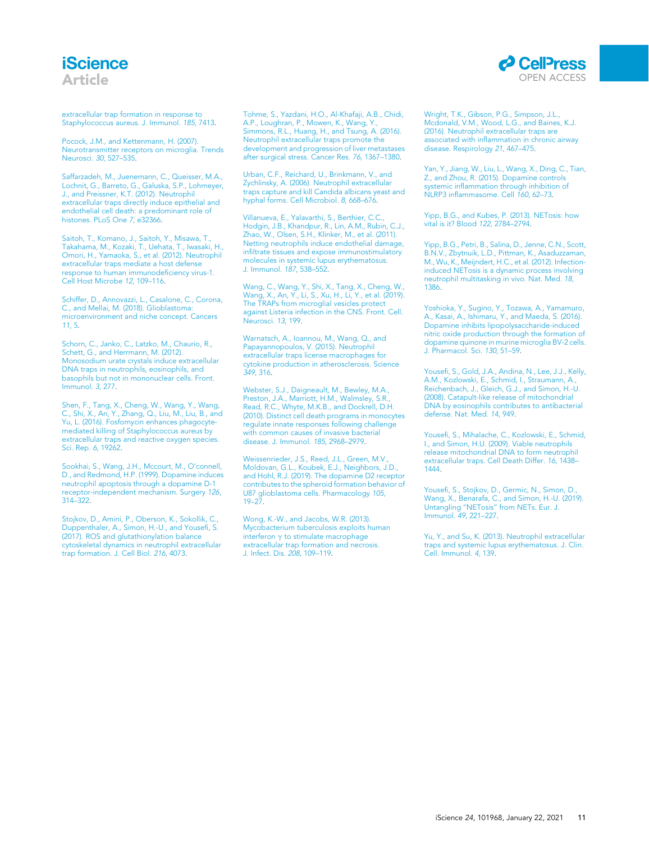### **iScience** Article

extracellular trap formation in response to Staphylococcus aureus. J. Immunol. 185, 7413.

Pocock, J.M., and Kettenmann, H. (2007). Neurotransmitter receptors on microglia. Trends Neurosci. 30, 527–535.

Saffarzadeh, M., Juenemann, C., Queisser, M.A., Lochnit, G., Barreto, G., Galuska, S.P., Lohmeyer, J., and Preissner, K.T. (2012). Neutrophil extracellular traps directly induce epithelial and endothelial cell death: a predominant role of histones. PLoS One 7, e32366.

Saitoh, T., Komano, J., Saitoh, Y., Misawa, T., Takahama, M., Kozaki, T., Uehata, T., Iwasaki, H., Omori, H., Yamaoka, S., et al. (2012). Neutrophil extracellular traps mediate a host defense response to human immunodeficiency virus-1. Cell Host Microbe 12, 109–116.

Schiffer, D., Annovazzi, L., Casalone, C., Corona, C., and Mellai, M. (2018). Glioblastoma: microenvironment and niche concept. Cancers 11, 5.

Schorn, C., Janko, C., Latzko, M., Chaurio, R., Schett, G., and Herrmann, M. (2012). Monosodium urate crystals induce extracellular DNA traps in neutrophils, eosinophils, and basophils but not in mononuclear cells. Front. Immunol. 3, 277.

Shen, F., Tang, X., Cheng, W., Wang, Y., Wang, C., Shi, X., An, Y., Zhang, Q., Liu, M., Liu, B., and Yu, L. (2016). Fosfomycin enhances phagocytemediated killing of Staphylococcus aureus by extracellular traps and reactive oxygen species. Sci. Rep. 6, 19262.

Sookhai, S., Wang, J.H., Mccourt, M., O'connell, D., and Redmond, H.P. (1999). Dopamine induces neutrophil apoptosis through a dopamine D-1 receptor-independent mechanism. Surgery 126, 314–322.

Stojkov, D., Amini, P., Oberson, K., Sokollik, C., Duppenthaler, A., Simon, H.-U., and Yousefi, S. (2017). ROS and glutathionylation balance cytoskeletal dynamics in neutrophil extracellular trap formation. J. Cell Biol. 216, 4073.

Tohme, S., Yazdani, H.O., Al-Khafaji, A.B., Chidi, A.P., Loughran, P., Mowen, K., Wang, Y., Simmons, R.L., Huang, H., and Tsung, A. (2016). Neutrophil extracellular traps promote the development and progression of liver metastases after surgical stress. Cancer Res. 76, 1367–1380.

Urban, C.F., Reichard, U., Brinkmann, V., and Zychlinsky, A. (2006). Neutrophil extracellular traps capture and kill Candida albicans yeast and hyphal forms. Cell Microbiol. 8, 668–676.

Villanueva, E., Yalavarthi, S., Berthier, C.C., Hodgin, J.B., Khandpur, R., Lin, A.M., Rubin, C.J., Zhao, W., Olsen, S.H., Klinker, M., et al. (2011). Netting neutrophils induce endothelial damage, infiltrate tissues and expose immunostimulatory molecules in systemic lupus erythematosus. J. Immunol. 187, 538–552.

Wang, C., Wang, Y., Shi, X., Tang, X., Cheng, W., Wang, X., An, Y., Li, S., Xu, H., Li, Y., et al. (2019). The TRAPs from microglial vesicles protect against Listeria infection in the CNS. Front. Cell. Neurosci. 13, 199.

Warnatsch, A., Ioannou, M., Wang, Q., and Papayannopoulos, V. (2015). Neutrophil extracellular traps license macrophages for cytokine production in atherosclerosis. Science 349, 316.

Webster, S.J., Daigneault, M., Bewley, M.A., Preston, J.A., Marriott, H.M., Walmsley, S.R. Read, R.C., Whyte, M.K.B., and Dockrell, D.H. (2010). Distinct cell death programs in monocytes regulate innate responses following challenge with common causes of invasive bacterial disease. J. Immunol. 185, 2968–2979.

Weissenrieder, J.S., Reed, J.L., Green, M.V., Moldovan, G.L., Koubek, E.J., Neighbors, J.D., and Hohl, R.J. (2019). The dopamine D2 receptor contributes to the spheroid formation behavior of U87 glioblastoma cells. Pharmacology 105, 19–27.

Wong, K.-W., and Jacobs, W.R. (2013). Mycobacterium tuberculosis exploits human interferon  $\gamma$  to stimulate macrophage extracellular trap formation and necrosis. J. Infect. Dis. 208, 109–119.

Wright, T.K., Gibson, P.G., Simpson, J.L., Mcdonald, V.M., Wood, L.G., and Baines, K.J. (2016). Neutrophil extracellular traps are associated with inflammation in chronic airway disease. Respirology 21, 467–475.

Yan, Y., Jiang, W., Liu, L., Wang, X., Ding, C., Tian, Z., and Zhou, R. (2015). Dopamine controls systemic inflammation through inhibition of NLRP3 inflammasome. Cell 160, 62-73.

Yipp, B.G., and Kubes, P. (2013). NETosis: how vital is it? Blood 122, 2784–2794.

Yipp, B.G., Petri, B., Salina, D., Jenne, C.N., Scott, B.N.V., Zbytnuik, L.D., Pittman, K., Asaduzzaman, M., Wu, K., Meijndert, H.C., et al. (2012). Infectioninduced NETosis is a dynamic process involving neutrophil multitasking in vivo. Nat. Med. 18, 1386.

Yoshioka, Y., Sugino, Y., Tozawa, A., Yamamuro, A., Kasai, A., Ishimaru, Y., and Maeda, S. (2016). Dopamine inhibits lipopolysaccharide-induced nitric oxide production through the formation of dopamine quinone in murine microglia BV-2 cells. J. Pharmacol. Sci. 130, 51–59.

Yousefi, S., Gold, J.A., Andina, N., Lee, J.J., Kelly, A.M., Kozlowski, E., Schmid, I., Straumann, A., Reichenbach, J., Gleich, G.J., and Simon, H.-U. (2008). Catapult-like release of mitochondrial DNA by eosinophils contributes to antibacterial defense. Nat. Med. 14, 949.

Yousefi, S., Mihalache, C., Kozlowski, E., Schmid, I., and Simon, H.U. (2009). Viable neutrophils release mitochondrial DNA to form neutrophil extracellular traps. Cell Death Differ. 16, 1438– 1444.

Yousefi, S., Stojkov, D., Germic, N., Simon, D., Wang, X., Benarafa, C., and Simon, H.-U. (2019). Untangling ''NETosis'' from NETs. Eur. J. Immunol. 49, 221–227.

Yu, Y., and Su, K. (2013). Neutrophil extracellular traps and systemic lupus erythematosus. J. Clin. Cell. Immunol. 4, 139.

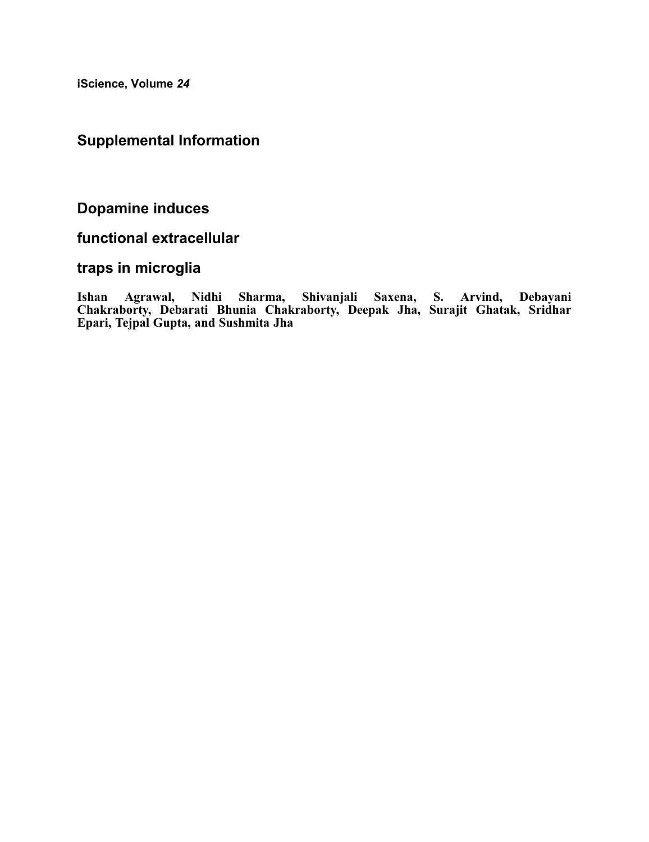iScience, Volume 24

### Supplemental Information

Dopamine induces

### functional extracellular

### traps in microglia

Ishan Agrawal, Nidhi Sharma, Shivanjali Saxena, S. Arvind, Debayani Chakraborty, Debarati Bhunia Chakraborty, Deepak Jha, Surajit Ghatak, Sridhar Epari, Tejpal Gupta, and Sushmita Jha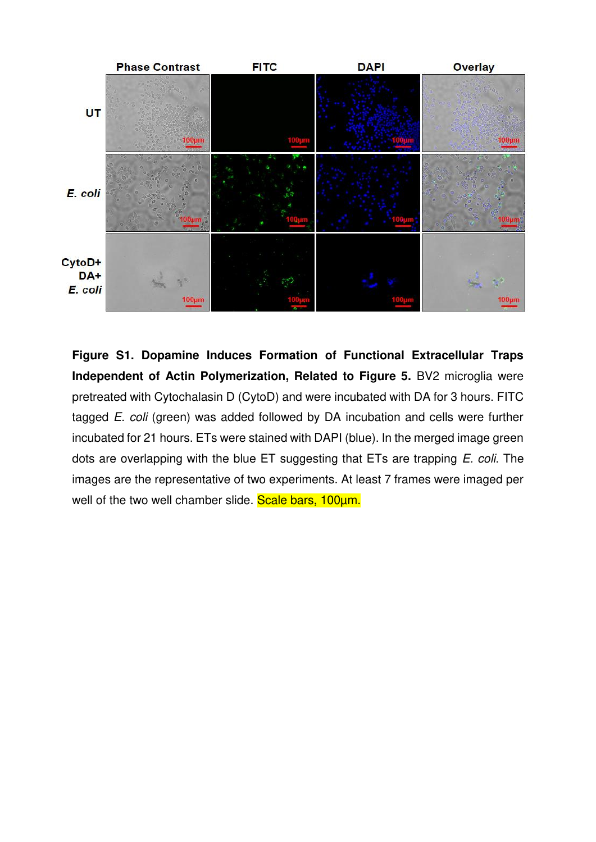

**Figure S1. Dopamine Induces Formation of Functional Extracellular Traps Independent of Actin Polymerization, Related to Figure 5.** BV2 microglia were pretreated with Cytochalasin D (CytoD) and were incubated with DA for 3 hours. FITC tagged *E. coli* (green) was added followed by DA incubation and cells were further incubated for 21 hours. ETs were stained with DAPI (blue). In the merged image green dots are overlapping with the blue ET suggesting that ETs are trapping *E. coli*. The images are the representative of two experiments. At least 7 frames were imaged per well of the two well chamber slide. Scale bars, 100um.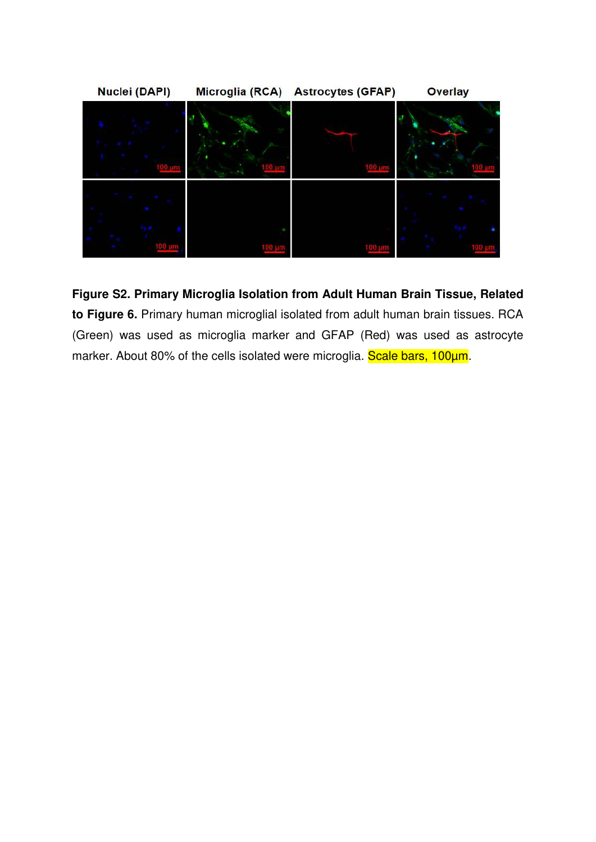

**Figure S2. Primary Microglia Isolation from Adult Human Brain Tissue, Related to Figure 6.** Primary human microglial isolated from adult human brain tissues. RCA (Green) was used as microglia marker and GFAP (Red) was used as astrocyte marker. About 80% of the cells isolated were microglia. Scale bars, 100um.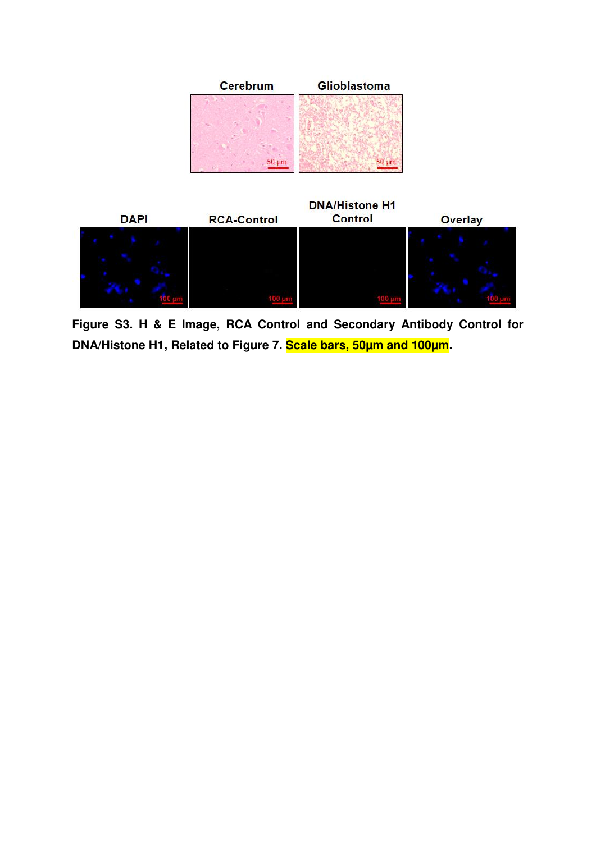



**Figure S3. H & E Image, RCA Control and Secondary Antibody Control for DNA/Histone H1, Related to Figure 7. Scale bars, 50µm and 100µm.**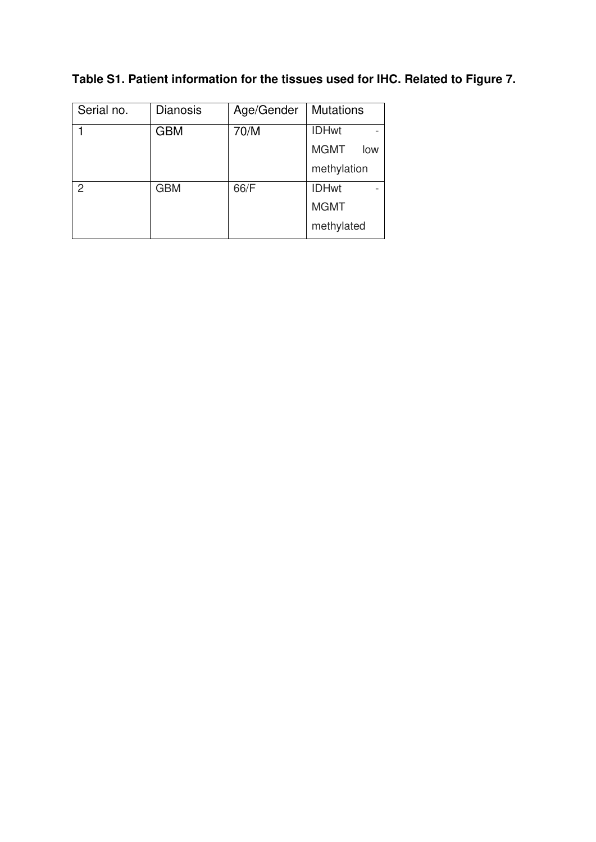|  | Table S1. Patient information for the tissues used for IHC. Related to Figure 7. |  |  |  |  |
|--|----------------------------------------------------------------------------------|--|--|--|--|
|  |                                                                                  |  |  |  |  |

| Serial no.    | <b>Dianosis</b> | Age/Gender | <b>Mutations</b>   |
|---------------|-----------------|------------|--------------------|
|               | <b>GBM</b>      | 70/M       | <b>IDHwt</b>       |
|               |                 |            | <b>MGMT</b><br>low |
|               |                 |            | methylation        |
| $\mathcal{P}$ | <b>GBM</b>      | 66/F       | <b>IDHwt</b>       |
|               |                 |            | <b>MGMT</b>        |
|               |                 |            | methylated         |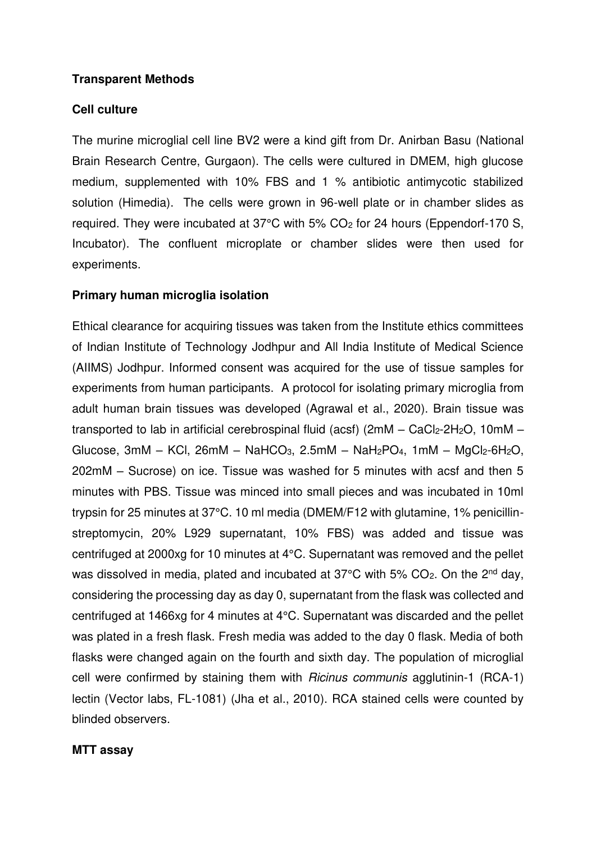### **Transparent Methods**

### **Cell culture**

The murine microglial cell line BV2 were a kind gift from Dr. Anirban Basu (National Brain Research Centre, Gurgaon). The cells were cultured in DMEM, high glucose medium, supplemented with 10% FBS and 1 % antibiotic antimycotic stabilized solution (Himedia). The cells were grown in 96-well plate or in chamber slides as required. They were incubated at 37°C with 5% CO2 for 24 hours (Eppendorf-170 S, Incubator). The confluent microplate or chamber slides were then used for experiments.

### **Primary human microglia isolation**

Ethical clearance for acquiring tissues was taken from the Institute ethics committees of Indian Institute of Technology Jodhpur and All India Institute of Medical Science (AIIMS) Jodhpur. Informed consent was acquired for the use of tissue samples for experiments from human participants. A protocol for isolating primary microglia from adult human brain tissues was developed [\(Agrawal et al., 2020\)](#page-31-0). Brain tissue was transported to lab in artificial cerebrospinal fluid (acsf) ( $2mM - CaCl<sub>2</sub>-2H<sub>2</sub>O$ ,  $10mM -$ Glucose,  $3mM - KCl$ ,  $26mM - NaHCO<sub>3</sub>$ ,  $2.5mM - NaH<sub>2</sub>PO<sub>4</sub>$ ,  $1mM - MgCl<sub>2</sub>-6H<sub>2</sub>O$ , 202mM – Sucrose) on ice. Tissue was washed for 5 minutes with acsf and then 5 minutes with PBS. Tissue was minced into small pieces and was incubated in 10ml trypsin for 25 minutes at 37°C. 10 ml media (DMEM/F12 with glutamine, 1% penicillinstreptomycin, 20% L929 supernatant, 10% FBS) was added and tissue was centrifuged at 2000xg for 10 minutes at 4°C. Supernatant was removed and the pellet was dissolved in media, plated and incubated at 37°C with 5% CO<sub>2</sub>. On the 2<sup>nd</sup> day, considering the processing day as day 0, supernatant from the flask was collected and centrifuged at 1466xg for 4 minutes at 4°C. Supernatant was discarded and the pellet was plated in a fresh flask. Fresh media was added to the day 0 flask. Media of both flasks were changed again on the fourth and sixth day. The population of microglial cell were confirmed by staining them with *Ricinus communis* agglutinin-1 (RCA-1) lectin (Vector labs, FL-1081) [\(Jha et al., 2010\)](#page-31-1). RCA stained cells were counted by blinded observers.

### **MTT assay**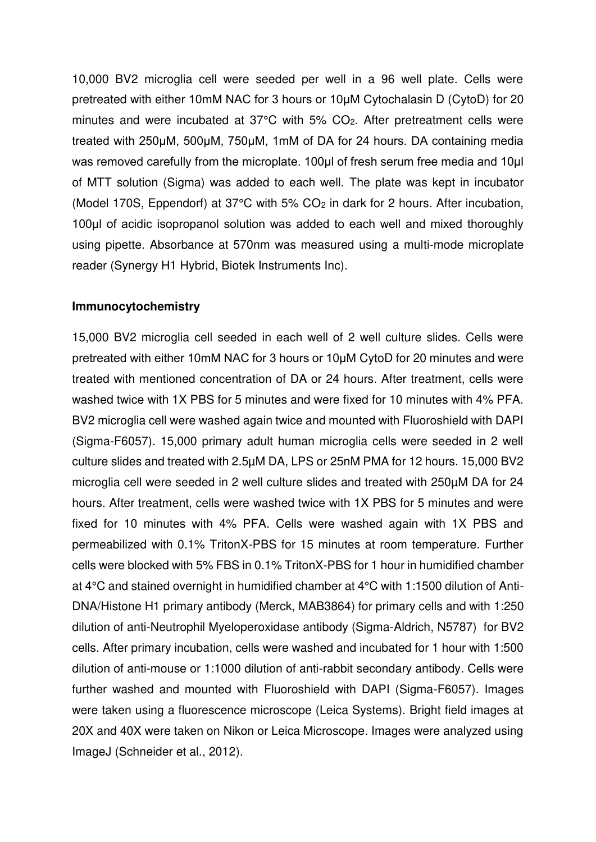10,000 BV2 microglia cell were seeded per well in a 96 well plate. Cells were pretreated with either 10mM NAC for 3 hours or 10μM Cytochalasin D (CytoD) for 20 minutes and were incubated at 37°C with 5% CO2. After pretreatment cells were treated with 250μM, 500μM, 750μM, 1mM of DA for 24 hours. DA containing media was removed carefully from the microplate. 100μl of fresh serum free media and 10μl of MTT solution (Sigma) was added to each well. The plate was kept in incubator (Model 170S, Eppendorf) at 37 $\degree$ C with 5% CO<sub>2</sub> in dark for 2 hours. After incubation, 100μl of acidic isopropanol solution was added to each well and mixed thoroughly using pipette. Absorbance at 570nm was measured using a multi-mode microplate reader (Synergy H1 Hybrid, Biotek Instruments Inc).

### **Immunocytochemistry**

15,000 BV2 microglia cell seeded in each well of 2 well culture slides. Cells were pretreated with either 10mM NAC for 3 hours or 10μM CytoD for 20 minutes and were treated with mentioned concentration of DA or 24 hours. After treatment, cells were washed twice with 1X PBS for 5 minutes and were fixed for 10 minutes with 4% PFA. BV2 microglia cell were washed again twice and mounted with Fluoroshield with DAPI (Sigma-F6057). 15,000 primary adult human microglia cells were seeded in 2 well culture slides and treated with 2.5µM DA, LPS or 25nM PMA for 12 hours. 15,000 BV2 microglia cell were seeded in 2 well culture slides and treated with 250µM DA for 24 hours. After treatment, cells were washed twice with 1X PBS for 5 minutes and were fixed for 10 minutes with 4% PFA. Cells were washed again with 1X PBS and permeabilized with 0.1% TritonX-PBS for 15 minutes at room temperature. Further cells were blocked with 5% FBS in 0.1% TritonX-PBS for 1 hour in humidified chamber at 4°C and stained overnight in humidified chamber at 4°C with 1:1500 dilution of Anti-DNA/Histone H1 primary antibody (Merck, MAB3864) for primary cells and with 1:250 dilution of anti-Neutrophil Myeloperoxidase antibody (Sigma-Aldrich, N5787) for BV2 cells. After primary incubation, cells were washed and incubated for 1 hour with 1:500 dilution of anti-mouse or 1:1000 dilution of anti-rabbit secondary antibody. Cells were further washed and mounted with Fluoroshield with DAPI (Sigma-F6057). Images were taken using a fluorescence microscope (Leica Systems). Bright field images at 20X and 40X were taken on Nikon or Leica Microscope. Images were analyzed using ImageJ [\(Schneider et al., 2012\)](#page-31-2).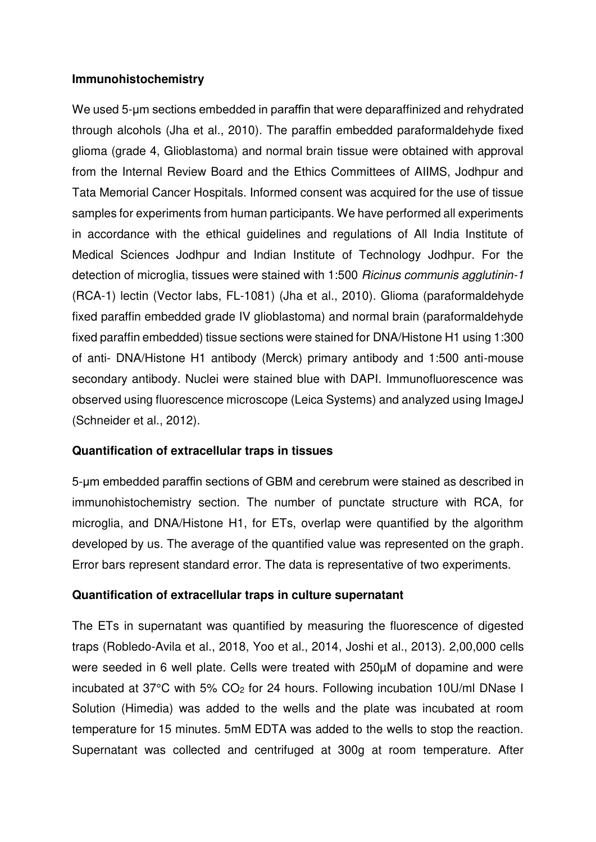### **Immunohistochemistry**

We used 5-um sections embedded in paraffin that were deparaffinized and rehydrated through alcohols [\(Jha et al., 2010\)](#page-31-1). The paraffin embedded paraformaldehyde fixed glioma (grade 4, Glioblastoma) and normal brain tissue were obtained with approval from the Internal Review Board and the Ethics Committees of AIIMS, Jodhpur and Tata Memorial Cancer Hospitals. Informed consent was acquired for the use of tissue samples for experiments from human participants. We have performed all experiments in accordance with the ethical guidelines and regulations of All India Institute of Medical Sciences Jodhpur and Indian Institute of Technology Jodhpur. For the detection of microglia, tissues were stained with 1:500 *Ricinus communis agglutinin-1* (RCA-1) lectin (Vector labs, FL-1081) [\(Jha et al., 2010\)](#page-31-1). Glioma (paraformaldehyde fixed paraffin embedded grade IV glioblastoma) and normal brain (paraformaldehyde fixed paraffin embedded) tissue sections were stained for DNA/Histone H1 using 1:300 of anti- DNA/Histone H1 antibody (Merck) primary antibody and 1:500 anti-mouse secondary antibody. Nuclei were stained blue with DAPI. Immunofluorescence was observed using fluorescence microscope (Leica Systems) and analyzed using ImageJ [\(Schneider et al., 2012\)](#page-31-2).

### **Quantification of extracellular traps in tissues**

5-μm embedded paraffin sections of GBM and cerebrum were stained as described in immunohistochemistry section. The number of punctate structure with RCA, for microglia, and DNA/Histone H1, for ETs, overlap were quantified by the algorithm developed by us. The average of the quantified value was represented on the graph. Error bars represent standard error. The data is representative of two experiments.

### **Quantification of extracellular traps in culture supernatant**

The ETs in supernatant was quantified by measuring the fluorescence of digested traps [\(Robledo-Avila et al., 2018,](#page-31-3) [Yoo et al., 2014,](#page-31-4) [Joshi et al., 2013\)](#page-31-5). 2,00,000 cells were seeded in 6 well plate. Cells were treated with 250µM of dopamine and were incubated at 37°C with 5% CO2 for 24 hours. Following incubation 10U/ml DNase I Solution (Himedia) was added to the wells and the plate was incubated at room temperature for 15 minutes. 5mM EDTA was added to the wells to stop the reaction. Supernatant was collected and centrifuged at 300g at room temperature. After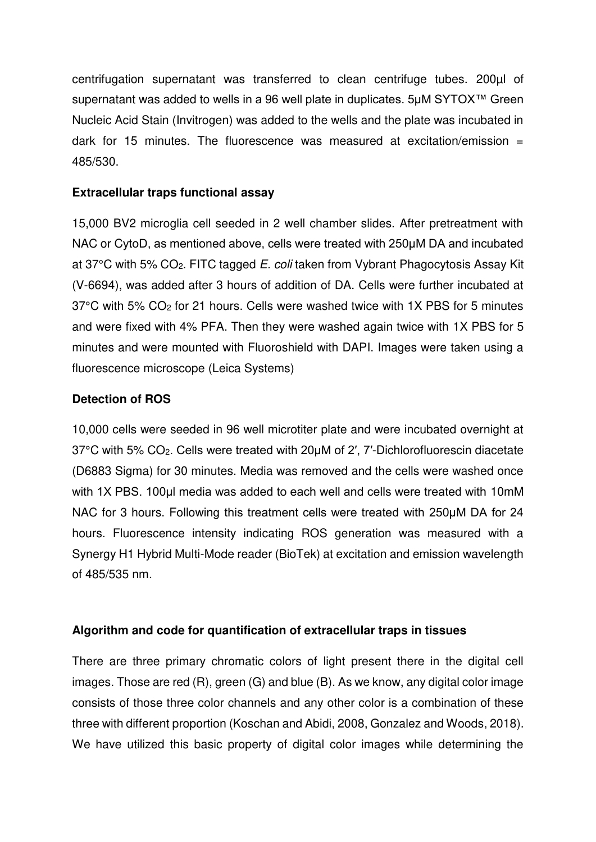centrifugation supernatant was transferred to clean centrifuge tubes. 200µl of supernatant was added to wells in a 96 well plate in duplicates. 5µM SYTOX<sup>™</sup> Green Nucleic Acid Stain (Invitrogen) was added to the wells and the plate was incubated in dark for 15 minutes. The fluorescence was measured at excitation/emission  $=$ 485/530.

### **Extracellular traps functional assay**

15,000 BV2 microglia cell seeded in 2 well chamber slides. After pretreatment with NAC or CytoD, as mentioned above, cells were treated with 250μM DA and incubated at 37°C with 5% CO2. FITC tagged *E. coli* taken from Vybrant Phagocytosis Assay Kit (V-6694), was added after 3 hours of addition of DA. Cells were further incubated at 37°C with 5% CO2 for 21 hours. Cells were washed twice with 1X PBS for 5 minutes and were fixed with 4% PFA. Then they were washed again twice with 1X PBS for 5 minutes and were mounted with Fluoroshield with DAPI. Images were taken using a fluorescence microscope (Leica Systems)

### **Detection of ROS**

10,000 cells were seeded in 96 well microtiter plate and were incubated overnight at 37°C with 5% CO2. Cells were treated with 20μM of 2′, 7′-Dichlorofluorescin diacetate (D6883 Sigma) for 30 minutes. Media was removed and the cells were washed once with 1X PBS. 100µl media was added to each well and cells were treated with 10mM NAC for 3 hours. Following this treatment cells were treated with 250μM DA for 24 hours. Fluorescence intensity indicating ROS generation was measured with a Synergy H1 Hybrid Multi-Mode reader (BioTek) at excitation and emission wavelength of 485/535 nm.

### **Algorithm and code for quantification of extracellular traps in tissues**

There are three primary chromatic colors of light present there in the digital cell images. Those are red (R), green (G) and blue (B). As we know, any digital color image consists of those three color channels and any other color is a combination of these three with different proportion [\(Koschan and Abidi, 2008,](#page-31-6) [Gonzalez and Woods, 2018\)](#page-31-7). We have utilized this basic property of digital color images while determining the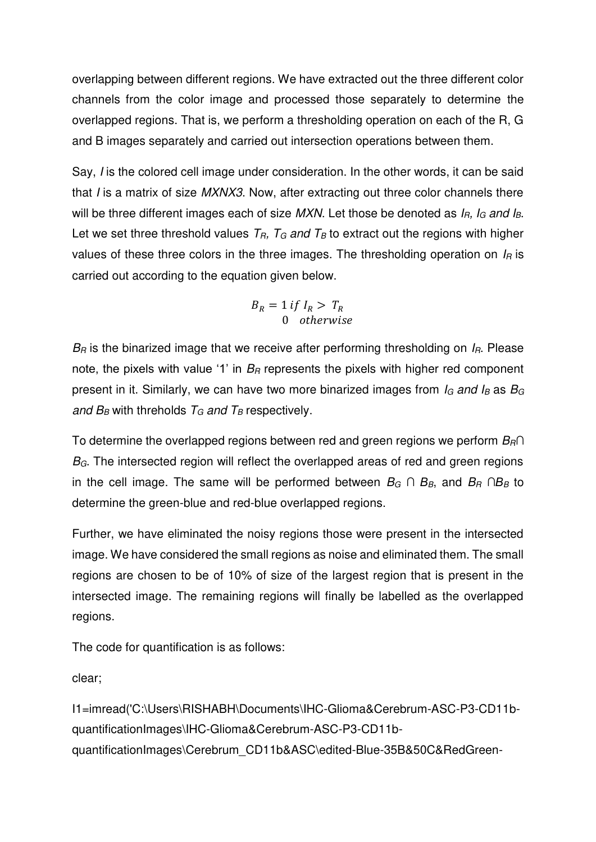overlapping between different regions. We have extracted out the three different color channels from the color image and processed those separately to determine the overlapped regions. That is, we perform a thresholding operation on each of the R, G and B images separately and carried out intersection operations between them.

Say, *I* is the colored cell image under consideration. In the other words, it can be said that *I* is a matrix of size *MXNX3*. Now, after extracting out three color channels there will be three different images each of size *MXN*. Let those be denoted as *IR, IG and IB*. Let we set three threshold values  $T_R$ ,  $T_G$  and  $T_B$  to extract out the regions with higher values of these three colors in the three images. The thresholding operation on *IR* is carried out according to the equation given below.

$$
B_R = 1 \text{ if } I_R > T_R
$$
  
0 otherwise

*BR* is the binarized image that we receive after performing thresholding on *IR*. Please note, the pixels with value '1' in *BR* represents the pixels with higher red component present in it. Similarly, we can have two more binarized images from *IG and IB* as *B<sup>G</sup> and B<sub>B</sub>* with threholds  $T_G$  *and T<sub>B</sub>* respectively.

To determine the overlapped regions between red and green regions we perform *BR∩ B<sub>G</sub>*. The intersected region will reflect the overlapped areas of red and green regions in the cell image. The same will be performed between *B<sup>G</sup> ∩ BB*, and *B<sup>R</sup> ∩BB* to determine the green-blue and red-blue overlapped regions.

Further, we have eliminated the noisy regions those were present in the intersected image. We have considered the small regions as noise and eliminated them. The small regions are chosen to be of 10% of size of the largest region that is present in the intersected image. The remaining regions will finally be labelled as the overlapped regions.

The code for quantification is as follows:

clear;

I1=imread('C:\Users\RISHABH\Documents\IHC-Glioma&Cerebrum-ASC-P3-CD11bquantificationImages\IHC-Glioma&Cerebrum-ASC-P3-CD11bquantificationImages\Cerebrum\_CD11b&ASC\edited-Blue-35B&50C&RedGreen-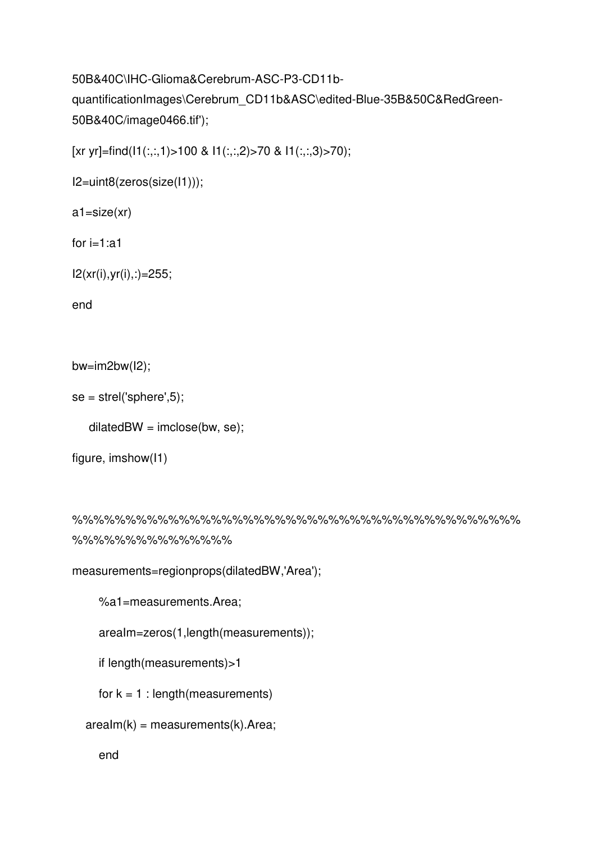## 50B&40C\IHC-Glioma&Cerebrum-ASC-P3-CD11bquantificationImages\Cerebrum\_CD11b&ASC\edited-Blue-35B&50C&RedGreen-50B&40C/image0466.tif');

[xr yr]=find(I1(:,:,1)>100 & I1(:,:,2)>70 & I1(:,:,3)>70);

```
I2=uint8(zeros(size(I1)));
```

```
a1=size(xr)
```

```
for i=1:a1
```
I2(xr(i),yr(i),:)=255;

end

```
bw=im2bw(I2);
```
 $se = \text{strel('sphere', 5)}$ ;

```
dilatedBW = imclose(bw, se);
```

```
figure, imshow(I1)
```

```
%%%%%%%%%%%%%%%%%%%%%%%%%%%%%%%%%%%%%%%%%%
%%%%%%%%%%%%%%%
```

```
measurements=regionprops(dilatedBW,'Area');
```

```
 %a1=measurements.Area;
```

```
 areaIm=zeros(1,length(measurements));
```

```
 if length(measurements)>1
```
for  $k = 1$  : length (measurements)

```
arealm(k) = measurements(k).Area;
```
end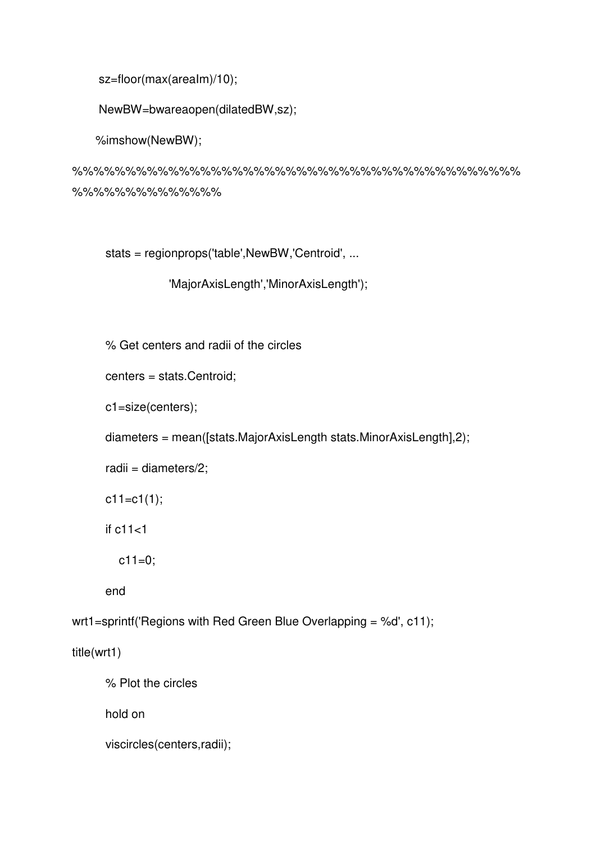```
 sz=floor(max(areaIm)/10);
```

```
 NewBW=bwareaopen(dilatedBW,sz);
```
%imshow(NewBW);

%%%%%%%%%%%%%%%%%%%%%%%%%%%%%%%%%%%%%%%%%% %%%%%%%%%%%%%%

stats = regionprops('table',NewBW,'Centroid', ...

```
 'MajorAxisLength','MinorAxisLength');
```
% Get centers and radii of the circles

centers = stats.Centroid;

c1=size(centers);

diameters = mean([stats.MajorAxisLength stats.MinorAxisLength],2);

radii = diameters/2;

 $c11 = c1(1);$ 

if c11<1

```
c11=0;
```
end

wrt1=sprintf('Regions with Red Green Blue Overlapping = %d', c11);

title(wrt1)

```
 % Plot the circles
```
hold on

viscircles(centers,radii);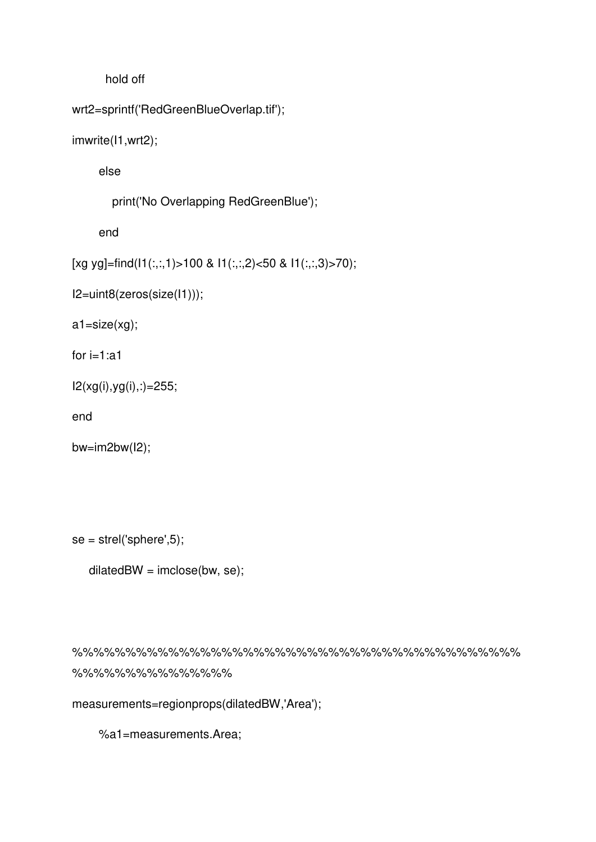hold off

```
wrt2=sprintf('RedGreenBlueOverlap.tif');
```

```
imwrite(I1,wrt2);
```
else

print('No Overlapping RedGreenBlue');

end

```
[xg yg]=find(I1(:,:,1)>100 & I1(:,:,2)<50 & I1(:,:,3)>70);
```
I2=uint8(zeros(size(I1)));

a1=size(xg);

for  $i=1$ :a1

```
I2(xg(i),yg(i),:)=255;
```
end

```
bw=im2bw(I2);
```
 $se = \text{strel('sphere', 5)}$ ;

```
dilatedBW = imclose(bw, se);
```
%%%%%%%%%%%%%%%%%%%%%%%%%%%%%%%%%%%%%%%%%% %%%%%%%%%%%%%%%

measurements=regionprops(dilatedBW,'Area');

%a1=measurements.Area;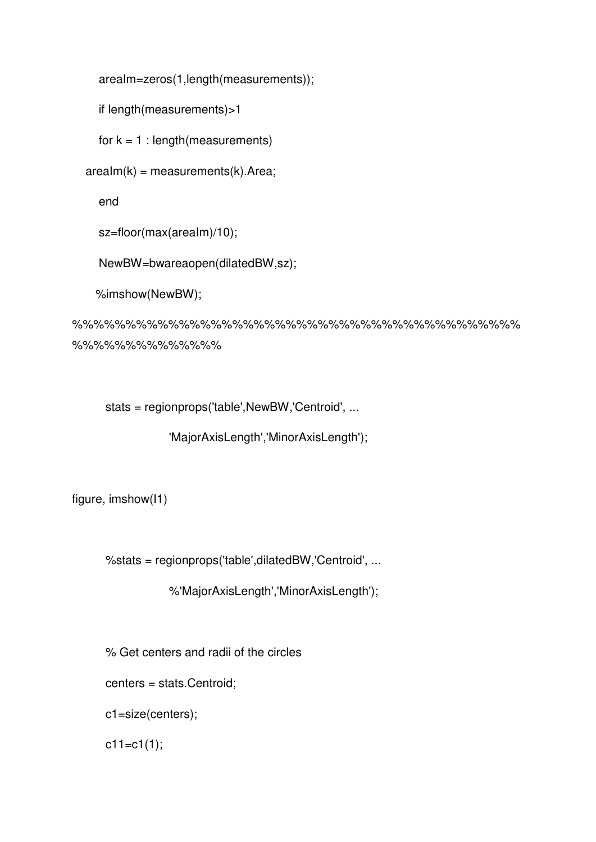```
 areaIm=zeros(1,length(measurements));
```

```
 if length(measurements)>1
```
for  $k = 1$  : length (measurements)

 $arealm(k) = measurements(k).$ Area;

end

```
 sz=floor(max(areaIm)/10);
```
NewBW=bwareaopen(dilatedBW,sz);

```
 %imshow(NewBW);
```
%%%%%%%%%%%%%%%%%%%%%%%%%%%%%%%%%%%%%%%%%% %%%%%%%%%%%%%%

stats = regionprops('table',NewBW,'Centroid', ...

'MajorAxisLength','MinorAxisLength');

figure, imshow(I1)

%stats = regionprops('table',dilatedBW,'Centroid', ...

%'MajorAxisLength','MinorAxisLength');

% Get centers and radii of the circles

centers = stats.Centroid;

c1=size(centers);

 $c11 = c1(1);$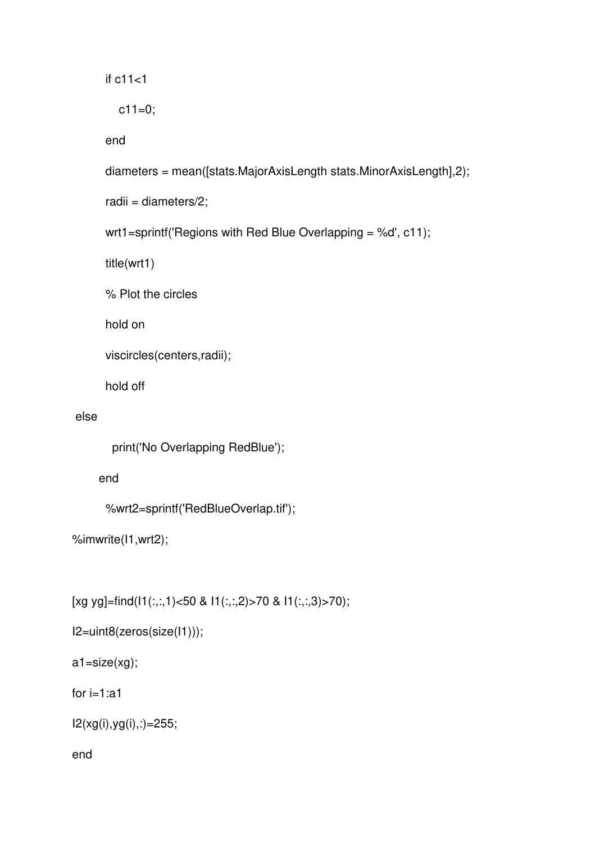if c11<1

 $c11=0;$ 

end

```
 diameters = mean([stats.MajorAxisLength stats.MinorAxisLength],2);
```
radii = diameters/2;

```
 wrt1=sprintf('Regions with Red Blue Overlapping = %d', c11);
```
title(wrt1)

% Plot the circles

hold on

```
 viscircles(centers,radii);
```
hold off

### else

```
 print('No Overlapping RedBlue');
```
end

```
 %wrt2=sprintf('RedBlueOverlap.tif');
```

```
%imwrite(I1,wrt2);
```
[xg yg]=find(I1(:,:,1)<50 & I1(:,:,2)>70 & I1(:,:,3)>70);

```
I2=uint8(zeros(size(I1)));
```

```
a1=size(xg);
```
for  $i=1$ :a1

```
I2(xg(i),yg(i),:)=255;
```
end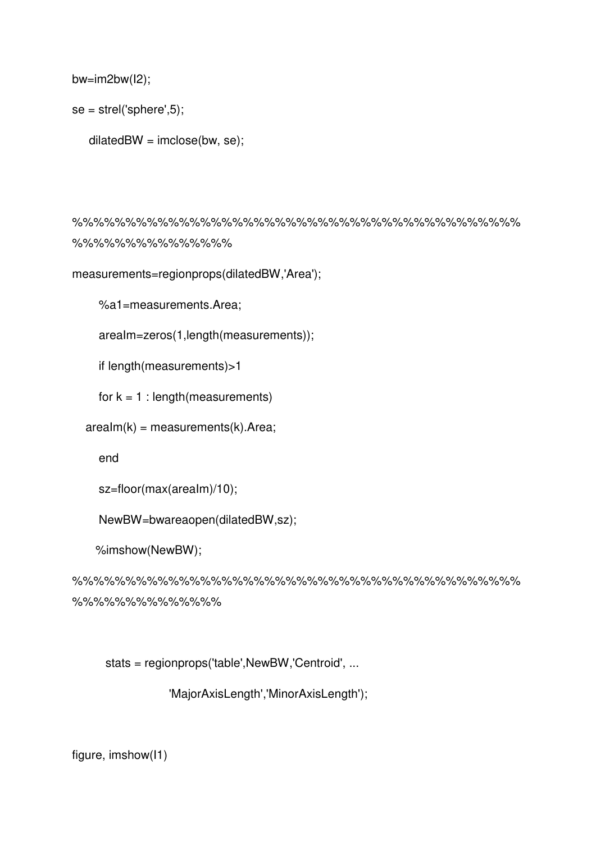```
bw=im2bw(I2);
```
 $se = \text{strel('sphere', 5)}$ ;

```
dilatedBW = imclose(bw, se);
```
%%%%%%%%%%%%%%%%%%%%%%%%%%%%%%%%%%%%%%%%%% %%%%%%%%%%%%%%%

measurements=regionprops(dilatedBW,'Area');

%a1=measurements.Area;

areaIm=zeros(1,length(measurements));

if length(measurements)>1

for  $k = 1$  : length (measurements)

 $arealm(k) = measurements(k).$ Area;

end

```
 sz=floor(max(areaIm)/10);
```
NewBW=bwareaopen(dilatedBW,sz);

%imshow(NewBW);

%%%%%%%%%%%%%%%%%%%%%%%%%%%%%%%%%%%%%%%%%% %%%%%%%%%%%%%%

stats = regionprops('table',NewBW,'Centroid', ...

'MajorAxisLength','MinorAxisLength');

figure, imshow(I1)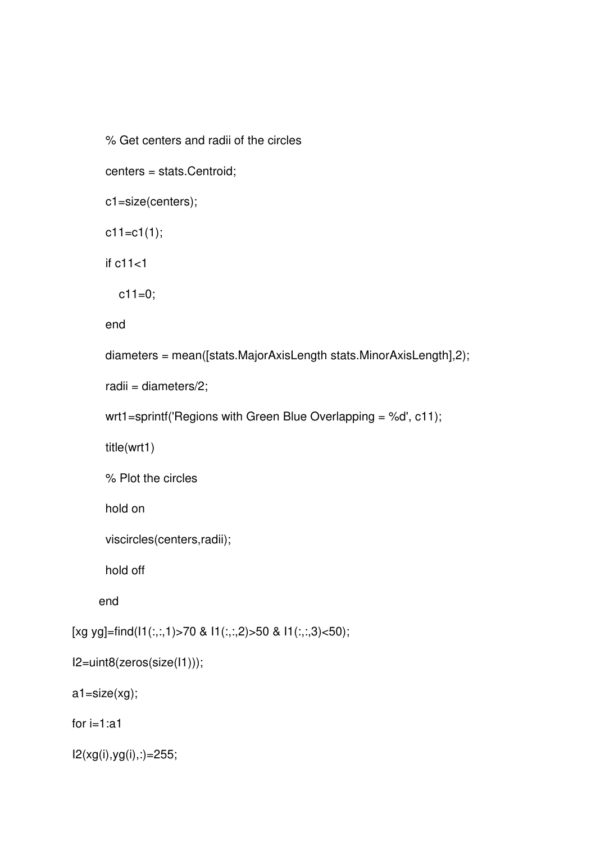% Get centers and radii of the circles

```
 centers = stats.Centroid;
```

```
 c1=size(centers);
```
 $c11 = c1(1);$ 

if c11<1

 $c11=0;$ 

end

```
 diameters = mean([stats.MajorAxisLength stats.MinorAxisLength],2);
```

```
 radii = diameters/2;
```

```
 wrt1=sprintf('Regions with Green Blue Overlapping = %d', c11);
```
title(wrt1)

% Plot the circles

hold on

```
 viscircles(centers,radii);
```
hold off

end

```
[xg yg]=find(I1(:,:,1)>70 & I1(:,:,2)>50 & I1(:,:,3)<50);
```

```
I2=uint8(zeros(size(I1)));
```
a1=size(xg);

for i=1:a1

 $I2(xg(i),yg(i),:) = 255;$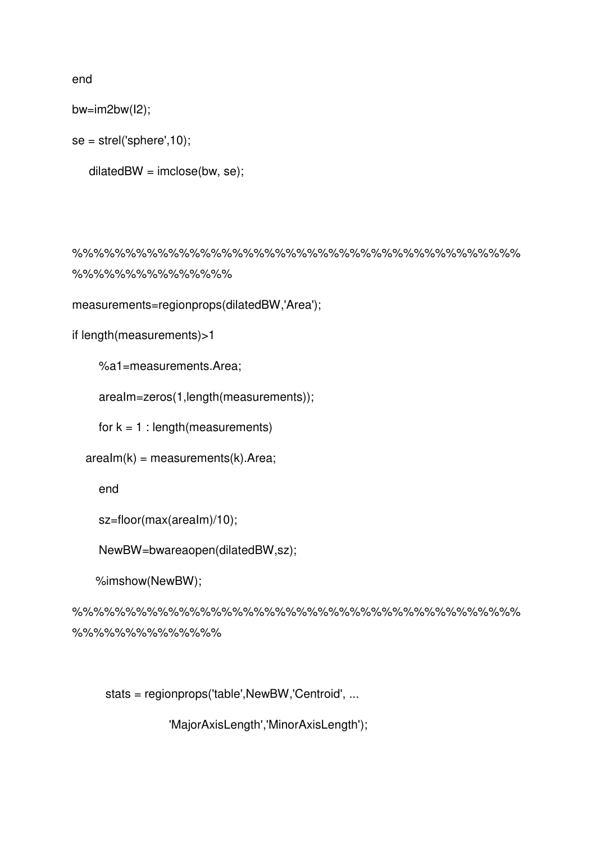end

bw=im2bw(I2);

```
se = \text{strel('sphere', 10)};
```

```
dilatedBW = imclose(bw, se);
```
%%%%%%%%%%%%%%%%%%%%%%%%%%%%%%%%%%%%%%%%%% %%%%%%%%%%%%%%%

```
measurements=regionprops(dilatedBW,'Area');
```

```
if length(measurements)>1
```
%a1=measurements.Area;

areaIm=zeros(1,length(measurements));

for  $k = 1$  : length (measurements)

 $arealm(k) = measurements(k).$ Area;

end

```
 sz=floor(max(areaIm)/10);
```
NewBW=bwareaopen(dilatedBW,sz);

%imshow(NewBW);

%%%%%%%%%%%%%%%%%%%%%%%%%%%%%%%%%%%%%%%%%% %%%%%%%%%%%%%%

stats = regionprops('table',NewBW,'Centroid', ...

'MajorAxisLength','MinorAxisLength');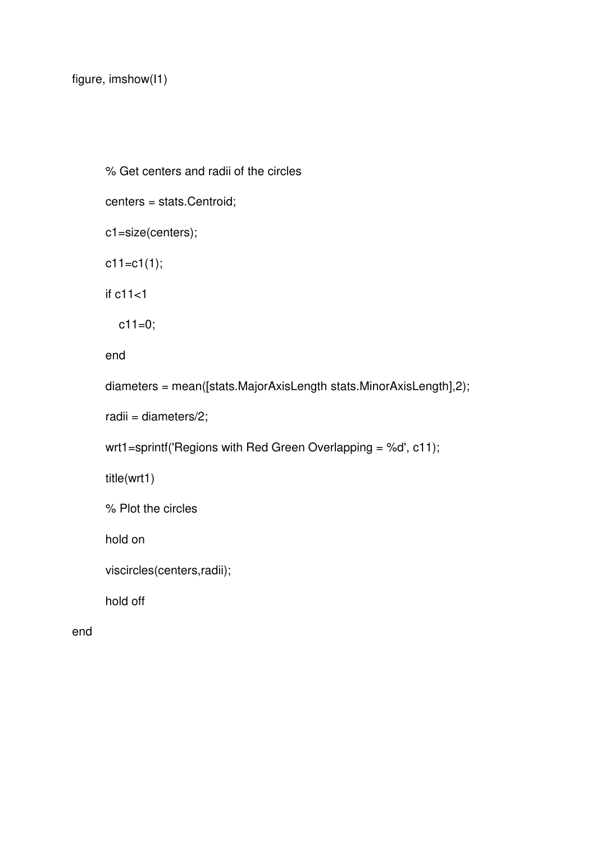```
 % Get centers and radii of the circles 
 centers = stats.Centroid; 
 c1=size(centers); 
 c11=c1(1); 
 if c11<1 
  c11=0; end
 diameters = mean([stats.MajorAxisLength stats.MinorAxisLength],2); 
 radii = diameters/2; 
 wrt1=sprintf('Regions with Red Green Overlapping = %d', c11); 
 title(wrt1) 
 % Plot the circles 
 hold on
```

```
 viscircles(centers,radii);
```
hold off

end